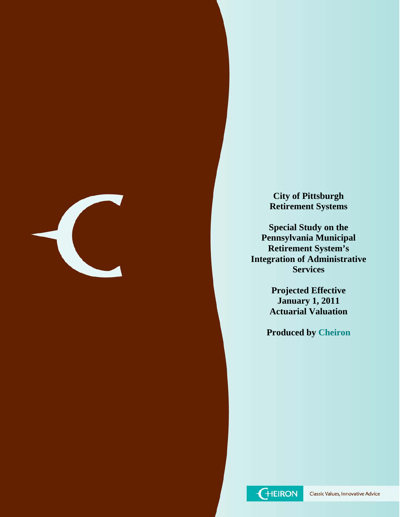

**City of Pittsburgh Retirement Systems** 

**Special Study on the Pennsylvania Municipal Retirement System's Integration of Administrative Services** 

> **Projected Effective January 1, 2011 Actuarial Valuation**

**Produced by Cheiron** 

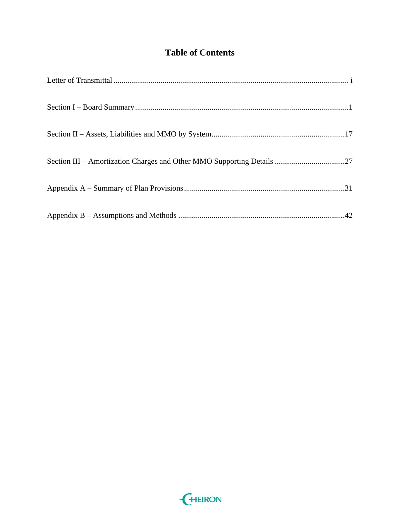# **Table of Contents**

| Section III - Amortization Charges and Other MMO Supporting Details27 |
|-----------------------------------------------------------------------|
|                                                                       |
|                                                                       |

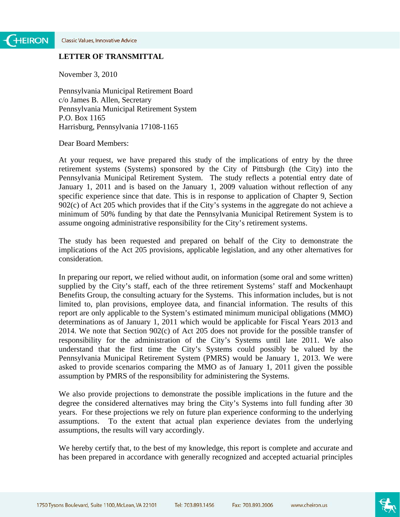### **LETTER OF TRANSMITTAL**

November 3, 2010

Pennsylvania Municipal Retirement Board c/o James B. Allen, Secretary Pennsylvania Municipal Retirement System P.O. Box 1165 Harrisburg, Pennsylvania 17108-1165

Dear Board Members:

At your request, we have prepared this study of the implications of entry by the three retirement systems (Systems) sponsored by the City of Pittsburgh (the City) into the Pennsylvania Municipal Retirement System. The study reflects a potential entry date of January 1, 2011 and is based on the January 1, 2009 valuation without reflection of any specific experience since that date. This is in response to application of Chapter 9, Section 902(c) of Act 205 which provides that if the City's systems in the aggregate do not achieve a minimum of 50% funding by that date the Pennsylvania Municipal Retirement System is to assume ongoing administrative responsibility for the City's retirement systems.

The study has been requested and prepared on behalf of the City to demonstrate the implications of the Act 205 provisions, applicable legislation, and any other alternatives for consideration.

In preparing our report, we relied without audit, on information (some oral and some written) supplied by the City's staff, each of the three retirement Systems' staff and Mockenhaupt Benefits Group, the consulting actuary for the Systems. This information includes, but is not limited to, plan provisions, employee data, and financial information. The results of this report are only applicable to the System's estimated minimum municipal obligations (MMO) determinations as of January 1, 2011 which would be applicable for Fiscal Years 2013 and 2014. We note that Section 902(c) of Act 205 does not provide for the possible transfer of responsibility for the administration of the City's Systems until late 2011. We also understand that the first time the City's Systems could possibly be valued by the Pennsylvania Municipal Retirement System (PMRS) would be January 1, 2013. We were asked to provide scenarios comparing the MMO as of January 1, 2011 given the possible assumption by PMRS of the responsibility for administering the Systems.

We also provide projections to demonstrate the possible implications in the future and the degree the considered alternatives may bring the City's Systems into full funding after 30 years. For these projections we rely on future plan experience conforming to the underlying assumptions. To the extent that actual plan experience deviates from the underlying assumptions, the results will vary accordingly.

We hereby certify that, to the best of my knowledge, this report is complete and accurate and has been prepared in accordance with generally recognized and accepted actuarial principles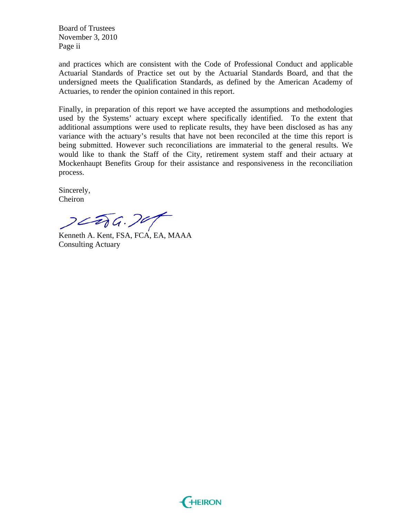Board of Trustees November 3, 2010 Page ii

and practices which are consistent with the Code of Professional Conduct and applicable Actuarial Standards of Practice set out by the Actuarial Standards Board, and that the undersigned meets the Qualification Standards, as defined by the American Academy of Actuaries, to render the opinion contained in this report.

Finally, in preparation of this report we have accepted the assumptions and methodologies used by the Systems' actuary except where specifically identified. To the extent that additional assumptions were used to replicate results, they have been disclosed as has any variance with the actuary's results that have not been reconciled at the time this report is being submitted. However such reconciliations are immaterial to the general results. We would like to thank the Staff of the City, retirement system staff and their actuary at Mockenhaupt Benefits Group for their assistance and responsiveness in the reconciliation process.

Sincerely, Cheiron

 $22266.707$ 

Kenneth A. Kent, FSA, FCA, EA, MAAA Consulting Actuary

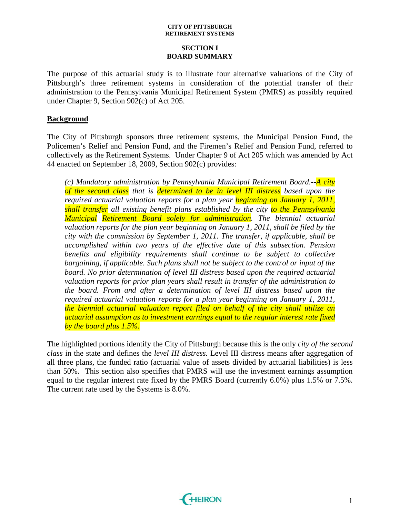### **SECTION I BOARD SUMMARY**

The purpose of this actuarial study is to illustrate four alternative valuations of the City of Pittsburgh's three retirement systems in consideration of the potential transfer of their administration to the Pennsylvania Municipal Retirement System (PMRS) as possibly required under Chapter 9, Section 902(c) of Act 205.

### **Background**

The City of Pittsburgh sponsors three retirement systems, the Municipal Pension Fund, the Policemen's Relief and Pension Fund, and the Firemen's Relief and Pension Fund, referred to collectively as the Retirement Systems. Under Chapter 9 of Act 205 which was amended by Act 44 enacted on September 18, 2009, Section 902(c) provides:

*(c) Mandatory administration by Pennsylvania Municipal Retirement Board.--A city of the second class that is determined to be in level III distress based upon the required actuarial valuation reports for a plan year beginning on January 1, 2011, shall transfer all existing benefit plans established by the city to the Pennsylvania Municipal Retirement Board solely for administration. The biennial actuarial valuation reports for the plan year beginning on January 1, 2011, shall be filed by the city with the commission by September 1, 2011. The transfer, if applicable, shall be accomplished within two years of the effective date of this subsection. Pension benefits and eligibility requirements shall continue to be subject to collective bargaining, if applicable. Such plans shall not be subject to the control or input of the board. No prior determination of level III distress based upon the required actuarial valuation reports for prior plan years shall result in transfer of the administration to the board. From and after a determination of level III distress based upon the required actuarial valuation reports for a plan year beginning on January 1, 2011, the biennial actuarial valuation report filed on behalf of the city shall utilize an actuarial assumption as to investment earnings equal to the regular interest rate fixed by the board plus 1.5%.* 

The highlighted portions identify the City of Pittsburgh because this is the only *city of the second class* in the state and defines the *level III distress.* Level III distress means after aggregation of all three plans, the funded ratio (actuarial value of assets divided by actuarial liabilities) is less than 50%. This section also specifies that PMRS will use the investment earnings assumption equal to the regular interest rate fixed by the PMRS Board (currently 6.0%) plus 1.5% or 7.5%. The current rate used by the Systems is 8.0%.

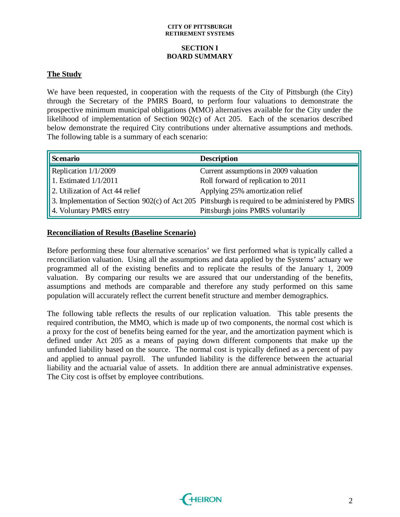### **SECTION I BOARD SUMMARY**

### **The Study**

We have been requested, in cooperation with the requests of the City of Pittsburgh (the City) through the Secretary of the PMRS Board, to perform four valuations to demonstrate the prospective minimum municipal obligations (MMO) alternatives available for the City under the likelihood of implementation of Section 902(c) of Act 205. Each of the scenarios described below demonstrate the required City contributions under alternative assumptions and methods. The following table is a summary of each scenario:

| <b>Scenario</b>                 | <b>Description</b>                                                                               |
|---------------------------------|--------------------------------------------------------------------------------------------------|
| Replication 1/1/2009            | Current assumptions in 2009 valuation                                                            |
| 1. Estimated $1/1/2011$         | Roll forward of replication to 2011                                                              |
| 2. Utilization of Act 44 relief | Applying 25% amortization relief                                                                 |
|                                 | 3. Implementation of Section 902(c) of Act 205 Pittsburgh is required to be administered by PMRS |
| 4. Voluntary PMRS entry         | Pittsburgh joins PMRS voluntarily                                                                |

### **Reconciliation of Results (Baseline Scenario)**

Before performing these four alternative scenarios' we first performed what is typically called a reconciliation valuation. Using all the assumptions and data applied by the Systems' actuary we programmed all of the existing benefits and to replicate the results of the January 1, 2009 valuation. By comparing our results we are assured that our understanding of the benefits, assumptions and methods are comparable and therefore any study performed on this same population will accurately reflect the current benefit structure and member demographics.

The following table reflects the results of our replication valuation. This table presents the required contribution, the MMO, which is made up of two components, the normal cost which is a proxy for the cost of benefits being earned for the year, and the amortization payment which is defined under Act 205 as a means of paying down different components that make up the unfunded liability based on the source. The normal cost is typically defined as a percent of pay and applied to annual payroll. The unfunded liability is the difference between the actuarial liability and the actuarial value of assets. In addition there are annual administrative expenses. The City cost is offset by employee contributions.

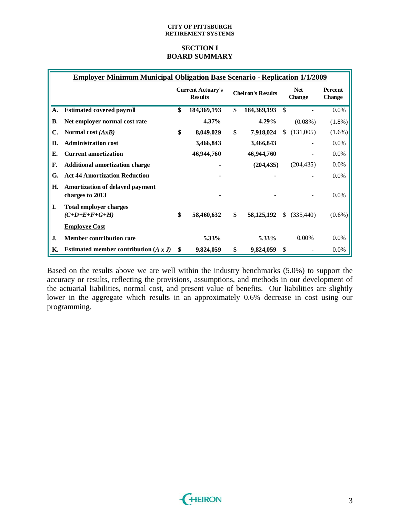### **SECTION I BOARD SUMMARY**

|           | <b>Employer Minimum Municipal Obligation Base Scenario - Replication 1/1/2009</b> |                                            |                          |                      |            |                          |
|-----------|-----------------------------------------------------------------------------------|--------------------------------------------|--------------------------|----------------------|------------|--------------------------|
|           |                                                                                   | <b>Current Actuary's</b><br><b>Results</b> | <b>Cheiron's Results</b> | <b>Net</b><br>Change |            | <b>Percent</b><br>Change |
| A.        | <b>Estimated covered payroll</b>                                                  | \$<br>184,369,193                          | \$<br>184,369,193        | \$                   |            | 0.0%                     |
| <b>B.</b> | Net employer normal cost rate                                                     | 4.37%                                      | $4.29\%$                 |                      | $(0.08\%)$ | $(1.8\%)$                |
| C.        | Normal cost $(AxB)$                                                               | \$<br>8,049,029                            | \$<br>7,918,024          | \$                   | (131,005)  | $(1.6\%)$                |
| D.        | <b>Administration cost</b>                                                        | 3,466,843                                  | 3,466,843                |                      |            | $0.0\%$                  |
| Е.        | <b>Current amortization</b>                                                       | 46,944,760                                 | 46,944,760               |                      |            | 0.0%                     |
| F.        | <b>Additional amortization charge</b>                                             |                                            | (204, 435)               |                      | (204, 435) | $0.0\%$                  |
| G.        | <b>Act 44 Amortization Reduction</b>                                              |                                            |                          |                      |            | 0.0%                     |
| Н.        | Amortization of delayed payment<br>charges to 2013                                |                                            |                          |                      |            | 0.0%                     |
| I.        | <b>Total employer charges</b><br>$(C+D+E+F+G+H)$                                  | \$<br>58,460,632                           | \$<br>58, 125, 192       | \$.                  | (335, 440) | $(0.6\%)$                |
|           | <b>Employee Cost</b>                                                              |                                            |                          |                      |            |                          |
| J.        | <b>Member contribution rate</b>                                                   | 5.33%                                      | 5.33%                    |                      | $0.00\%$   | 0.0%                     |
| К.        | Estimated member contribution $(A x J)$                                           | \$<br>9,824,059                            | \$<br>9,824,059          | \$                   |            | $0.0\%$                  |

Based on the results above we are well within the industry benchmarks (5.0%) to support the accuracy or results, reflecting the provisions, assumptions, and methods in our development of the actuarial liabilities, normal cost, and present value of benefits. Our liabilities are slightly lower in the aggregate which results in an approximately 0.6% decrease in cost using our programming.

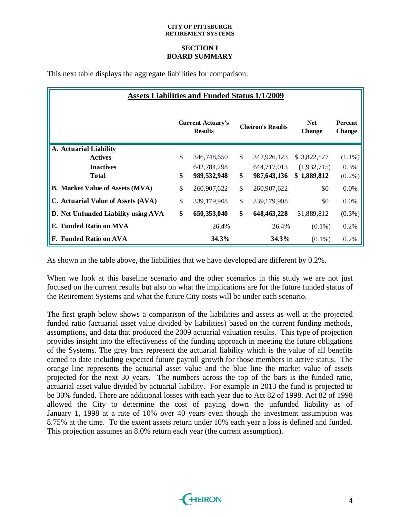### **SECTION I BOARD SUMMARY**

This next table displays the aggregate liabilities for comparison:

|                                        |    | <b>Assets Liabilities and Funded Status 1/1/2009</b> |               |                          |                      |                                 |
|----------------------------------------|----|------------------------------------------------------|---------------|--------------------------|----------------------|---------------------------------|
|                                        |    | <b>Current Actuary's</b><br><b>Results</b>           |               | <b>Cheiron's Results</b> | <b>Net</b><br>Change | <b>Percent</b><br><b>Change</b> |
| A. Actuarial Liability                 |    |                                                      |               |                          |                      |                                 |
| <b>Actives</b>                         | \$ | 346,748,650                                          | \$            | 342,926,123              | \$3,822,527          | $(1.1\%)$                       |
| <b>Inactives</b>                       |    | 642,784,298                                          |               | 644,717,013              | (1,932,715)          | 0.3%                            |
| <b>Total</b>                           | \$ | 989,532,948                                          | \$            | 987,643,136              | \$1,889,812          | $(0.2\%)$                       |
| <b>B.</b> Market Value of Assets (MVA) | \$ | 260,907,622                                          | $\mathcal{S}$ | 260,907,622              | \$0                  | $0.0\%$                         |
| C. Actuarial Value of Assets (AVA)     | \$ | 339, 179, 908                                        | \$            | 339,179,908              | \$0                  | $0.0\%$                         |
| D. Net Unfunded Liability using AVA    | \$ | 650,353,040                                          | \$            | 648, 463, 228            | \$1,889,812          | $(0.3\%)$                       |
| E. Funded Ratio on MVA                 |    | 26.4%                                                |               | 26.4%                    | $(0.1\%)$            | 0.2%                            |
| F. Funded Ratio on AVA                 |    | 34.3%                                                |               | 34.3%                    | $(0.1\%)$            | 0.2%                            |

As shown in the table above, the liabilities that we have developed are different by 0.2%.

When we look at this baseline scenario and the other scenarios in this study we are not just focused on the current results but also on what the implications are for the future funded status of the Retirement Systems and what the future City costs will be under each scenario.

The first graph below shows a comparison of the liabilities and assets as well at the projected funded ratio (actuarial asset value divided by liabilities) based on the current funding methods, assumptions, and data that produced the 2009 actuarial valuation results. This type of projection provides insight into the effectiveness of the funding approach in meeting the future obligations of the Systems. The grey bars represent the actuarial liability which is the value of all benefits earned to date including expected future payroll growth for those members in active status. The orange line represents the actuarial asset value and the blue line the market value of assets projected for the next 30 years. The numbers across the top of the bars is the funded ratio, actuarial asset value divided by actuarial liability. For example in 2013 the fund is projected to be 30% funded. There are additional losses with each year due to Act 82 of 1998. Act 82 of 1998 allowed the City to determine the cost of paying down the unfunded liability as of January 1, 1998 at a rate of 10% over 40 years even though the investment assumption was 8.75% at the time. To the extent assets return under 10% each year a loss is defined and funded. This projection assumes an 8.0% return each year (the current assumption).

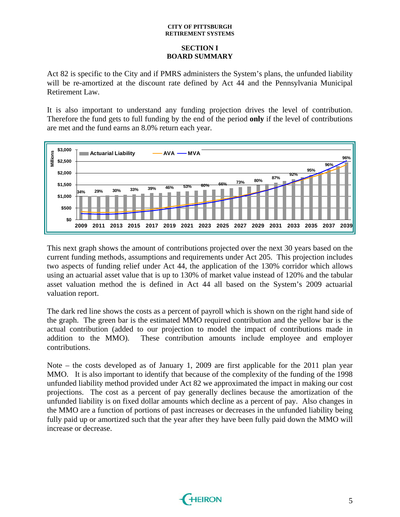### **SECTION I BOARD SUMMARY**

Act 82 is specific to the City and if PMRS administers the System's plans, the unfunded liability will be re-amortized at the discount rate defined by Act 44 and the Pennsylvania Municipal Retirement Law.

It is also important to understand any funding projection drives the level of contribution. Therefore the fund gets to full funding by the end of the period **only** if the level of contributions are met and the fund earns an 8.0% return each year.



This next graph shows the amount of contributions projected over the next 30 years based on the current funding methods, assumptions and requirements under Act 205. This projection includes two aspects of funding relief under Act 44, the application of the 130% corridor which allows using an actuarial asset value that is up to 130% of market value instead of 120% and the tabular asset valuation method the is defined in Act 44 all based on the System's 2009 actuarial valuation report.

The dark red line shows the costs as a percent of payroll which is shown on the right hand side of the graph. The green bar is the estimated MMO required contribution and the yellow bar is the actual contribution (added to our projection to model the impact of contributions made in addition to the MMO). These contribution amounts include employee and employer contributions.

Note – the costs developed as of January 1, 2009 are first applicable for the 2011 plan year MMO. It is also important to identify that because of the complexity of the funding of the 1998 unfunded liability method provided under Act 82 we approximated the impact in making our cost projections. The cost as a percent of pay generally declines because the amortization of the unfunded liability is on fixed dollar amounts which decline as a percent of pay. Also changes in the MMO are a function of portions of past increases or decreases in the unfunded liability being fully paid up or amortized such that the year after they have been fully paid down the MMO will increase or decrease.

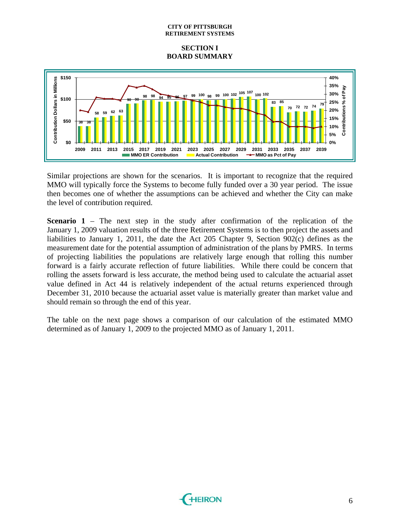### **SECTION I BOARD SUMMARY**



Similar projections are shown for the scenarios. It is important to recognize that the required MMO will typically force the Systems to become fully funded over a 30 year period. The issue then becomes one of whether the assumptions can be achieved and whether the City can make the level of contribution required.

**Scenario 1** – The next step in the study after confirmation of the replication of the January 1, 2009 valuation results of the three Retirement Systems is to then project the assets and liabilities to January 1, 2011, the date the Act 205 Chapter 9, Section 902(c) defines as the measurement date for the potential assumption of administration of the plans by PMRS. In terms of projecting liabilities the populations are relatively large enough that rolling this number forward is a fairly accurate reflection of future liabilities. While there could be concern that rolling the assets forward is less accurate, the method being used to calculate the actuarial asset value defined in Act 44 is relatively independent of the actual returns experienced through December 31, 2010 because the actuarial asset value is materially greater than market value and should remain so through the end of this year.

The table on the next page shows a comparison of our calculation of the estimated MMO determined as of January 1, 2009 to the projected MMO as of January 1, 2011.

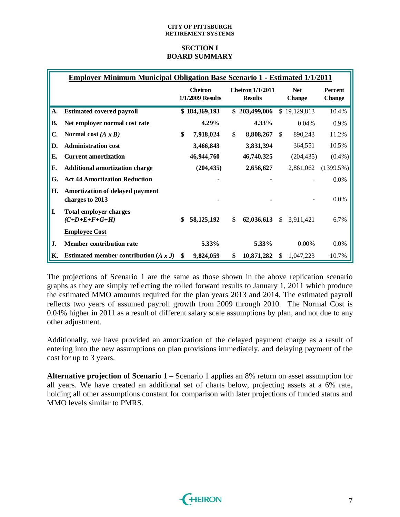### **SECTION I BOARD SUMMARY**

|           | <b>Employer Minimum Municipal Obligation Base Scenario 1 - Estimated 1/1/2011</b> |                                    |               |                                           |               |                             |            |                                 |
|-----------|-----------------------------------------------------------------------------------|------------------------------------|---------------|-------------------------------------------|---------------|-----------------------------|------------|---------------------------------|
|           |                                                                                   | <b>Cheiron</b><br>1/1/2009 Results |               | <b>Cheiron 1/1/2011</b><br><b>Results</b> |               | <b>Net</b><br><b>Change</b> |            | <b>Percent</b><br><b>Change</b> |
| A.        | <b>Estimated covered payroll</b>                                                  |                                    | \$184,369,193 |                                           | \$203,499,006 | \$                          | 19,129,813 | 10.4%                           |
| <b>B.</b> | Net employer normal cost rate                                                     |                                    | 4.29%         |                                           | 4.33%         |                             | 0.04%      | 0.9%                            |
| C.        | Normal cost $(A \times B)$                                                        | \$                                 | 7,918,024     | \$                                        | 8,808,267     | \$                          | 890,243    | 11.2%                           |
| D.        | <b>Administration cost</b>                                                        |                                    | 3,466,843     |                                           | 3,831,394     |                             | 364,551    | 10.5%                           |
| E.        | <b>Current amortization</b>                                                       |                                    | 46,944,760    |                                           | 46,740,325    |                             | (204, 435) | $(0.4\%)$                       |
| F.        | <b>Additional amortization charge</b>                                             |                                    | (204, 435)    |                                           | 2,656,627     |                             | 2,861,062  | $(1399.5\%)$                    |
| G.        | <b>Act 44 Amortization Reduction</b>                                              |                                    |               |                                           |               |                             |            | $0.0\%$                         |
| Н.        | Amortization of delayed payment<br>charges to 2013                                |                                    |               |                                           |               |                             |            | $0.0\%$                         |
| I.        | <b>Total employer charges</b><br>$(C+D+E+F+G+H)$                                  | \$                                 | 58, 125, 192  | \$                                        | 62,036,613    | <sup>\$</sup>               | 3,911,421  | 6.7%                            |
|           | <b>Employee Cost</b>                                                              |                                    |               |                                           |               |                             |            |                                 |
| J.        | <b>Member contribution rate</b>                                                   |                                    | 5.33%         |                                           | 5.33%         |                             | $0.00\%$   | $0.0\%$                         |
| К.        | Estimated member contribution $(A x J)$                                           | \$.                                | 9,824,059     | \$                                        | 10,871,282    | S                           | 1,047,223  | 10.7%                           |

The projections of Scenario 1 are the same as those shown in the above replication scenario graphs as they are simply reflecting the rolled forward results to January 1, 2011 which produce the estimated MMO amounts required for the plan years 2013 and 2014. The estimated payroll reflects two years of assumed payroll growth from 2009 through 2010. The Normal Cost is 0.04% higher in 2011 as a result of different salary scale assumptions by plan, and not due to any other adjustment.

Additionally, we have provided an amortization of the delayed payment charge as a result of entering into the new assumptions on plan provisions immediately, and delaying payment of the cost for up to 3 years.

**Alternative projection of Scenario 1** – Scenario 1 applies an 8% return on asset assumption for all years. We have created an additional set of charts below, projecting assets at a 6% rate, holding all other assumptions constant for comparison with later projections of funded status and MMO levels similar to PMRS.

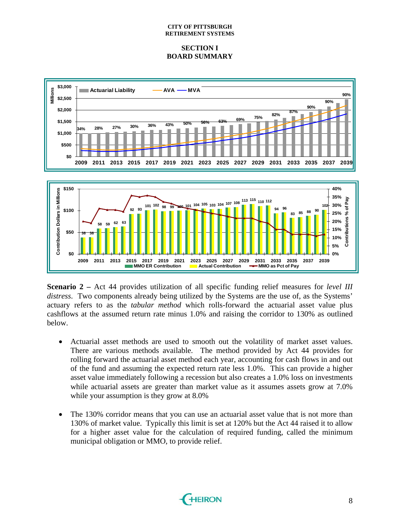### **SECTION I BOARD SUMMARY**



**Scenario 2 –** Act 44 provides utilization of all specific funding relief measures for *level III distress*. Two components already being utilized by the Systems are the use of, as the Systems' actuary refers to as the *tabular method* which rolls-forward the actuarial asset value plus cashflows at the assumed return rate minus 1.0% and raising the corridor to 130% as outlined below.

**2009 2011 2013 2015 2017 2019 2021 2023 2025 2027 2029 2031 2033 2035 2037 2039**

**MMO ER Contribution Actual Contribution -AGE MMO as Pct of Pay** 

- Actuarial asset methods are used to smooth out the volatility of market asset values. There are various methods available. The method provided by Act 44 provides for rolling forward the actuarial asset method each year, accounting for cash flows in and out of the fund and assuming the expected return rate less 1.0%. This can provide a higher asset value immediately following a recession but also creates a 1.0% loss on investments while actuarial assets are greater than market value as it assumes assets grow at 7.0% while your assumption is they grow at 8.0%
- The 130% corridor means that you can use an actuarial asset value that is not more than 130% of market value. Typically this limit is set at 120% but the Act 44 raised it to allow for a higher asset value for the calculation of required funding, called the minimum municipal obligation or MMO, to provide relief.

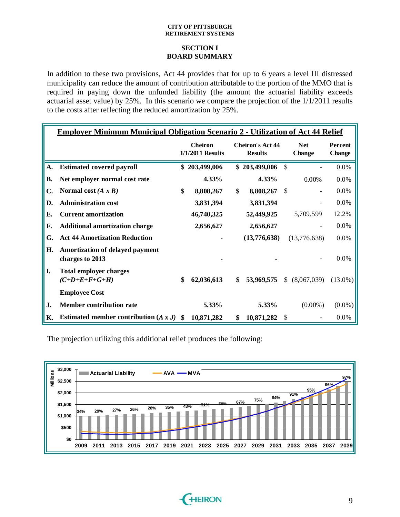### **SECTION I BOARD SUMMARY**

In addition to these two provisions, Act 44 provides that for up to 6 years a level III distressed municipality can reduce the amount of contribution attributable to the portion of the MMO that is required in paying down the unfunded liability (the amount the actuarial liability exceeds actuarial asset value) by 25%. In this scenario we compare the projection of the 1/1/2011 results to the costs after reflecting the reduced amortization by 25%.

|    | <b>Employer Minimum Municipal Obligation Scenario 2 - Utilization of Act 44 Relief</b> |                                    |               |                                           |               |                             |                |                                 |
|----|----------------------------------------------------------------------------------------|------------------------------------|---------------|-------------------------------------------|---------------|-----------------------------|----------------|---------------------------------|
|    |                                                                                        | <b>Cheiron</b><br>1/1/2011 Results |               | <b>Cheiron's Act 44</b><br><b>Results</b> |               | <b>Net</b><br><b>Change</b> |                | <b>Percent</b><br><b>Change</b> |
| A. | <b>Estimated covered payroll</b>                                                       |                                    | \$203,499,006 |                                           | \$203,499,006 | $\mathcal{S}$               |                | 0.0%                            |
| В. | Net employer normal cost rate                                                          |                                    | 4.33%         |                                           | 4.33%         |                             | 0.00%          | 0.0%                            |
| C. | Normal cost $(A \times B)$                                                             | \$                                 | 8,808,267     | \$                                        | 8,808,267     | \$                          |                | 0.0%                            |
| D. | <b>Administration cost</b>                                                             |                                    | 3,831,394     |                                           | 3,831,394     |                             |                | 0.0%                            |
| Е. | <b>Current amortization</b>                                                            |                                    | 46,740,325    |                                           | 52,449,925    |                             | 5,709,599      | 12.2%                           |
| F. | <b>Additional amortization charge</b>                                                  |                                    | 2,656,627     |                                           | 2,656,627     |                             |                | $0.0\%$                         |
| G. | <b>Act 44 Amortization Reduction</b>                                                   |                                    |               |                                           | (13,776,638)  |                             | (13,776,638)   | 0.0%                            |
| Н. | Amortization of delayed payment<br>charges to 2013                                     |                                    |               |                                           |               |                             |                | $0.0\%$                         |
| L. | <b>Total employer charges</b><br>$(C+D+E+F+G+H)$                                       | \$                                 | 62,036,613    | \$                                        | 53,969,575    |                             | \$ (8,067,039) | $(13.0\%)$                      |
|    | <b>Employee Cost</b>                                                                   |                                    |               |                                           |               |                             |                |                                 |
| J. | Member contribution rate                                                               |                                    | 5.33%         |                                           | 5.33%         |                             | $(0.00\%)$     | $(0.0\%)$                       |
| Κ. | Estimated member contribution $(A x J)$ \$                                             |                                    | 10,871,282    | \$                                        | 10,871,282    | \$                          |                | $0.0\%$                         |

The projection utilizing this additional relief produces the following:



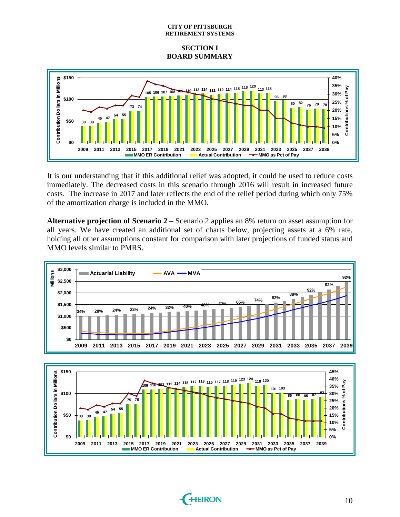**SECTION I BOARD SUMMARY** 



It is our understanding that if this additional relief was adopted, it could be used to reduce costs immediately. The decreased costs in this scenario through 2016 will result in increased future costs. The increase in 2017 and later reflects the end of the relief period during which only 75% of the amortization charge is included in the MMO.

**Alternative projection of Scenario 2** – Scenario 2 applies an 8% return on asset assumption for all years. We have created an additional set of charts below, projecting assets at a 6% rate, holding all other assumptions constant for comparison with later projections of funded status and MMO levels similar to PMRS.





**2009 2011 2013 2015 2017 2019 2021 2023 2025 2027 2029 2031 2033**

**\$0**

**0%**

**2035 2037 2039**

**MMO** as Pct of Pay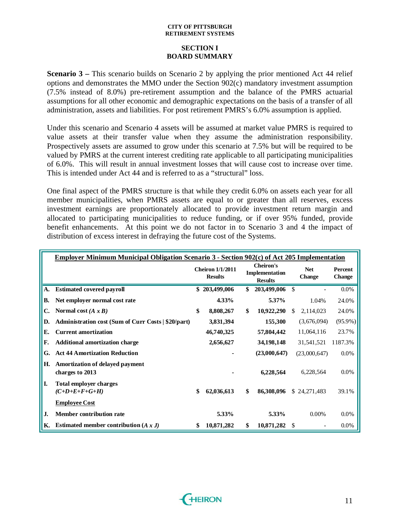### **SECTION I BOARD SUMMARY**

**Scenario 3** – This scenario builds on Scenario 2 by applying the prior mentioned Act 44 relief options and demonstrates the MMO under the Section 902(c) mandatory investment assumption .5% instead of 8.0%) pre-retirement assumption and the balance of the PMRS actuarial (7 assumptions for all other economic and demographic expectations on the basis of a transfer of all administration, assets and liabilities. For post retirement PMRS's 6.0% assumption is applied.

Under this scenario and Scenario 4 assets will be assumed at market value PMRS is required to value assets at their transfer value when they assume the administration responsibility. Prospectively assets are assumed to grow under this scenario at 7.5% but will be required to be valued by PMRS at the current interest crediting rate applicable to all participating municipalities of 6.0%. This will result in annual investment losses that will cause cost to increase over time. This is intended under Act 44 and is referred to as a "structural" loss.

One final aspect of the PMRS structure is that while they credit 6.0% on assets each year for all member municipalities, when PMRS assets are equal to or greater than all reserves, excess investment earnings are proportionately allocated to provide investment return margin and allocated to participating municipalities to reduce funding, or if over 95% funded, provide benefit enhancements. At this point we do not factor in to Scenario 3 and 4 the impact of distribution of excess interest in defraying the future cost of the Systems.

|    | <b>Employer Minimum Municipal Obligation Scenario 3 - Section 902(c) of Act 205 Implementation</b> |                                           |               |                                                      |     |                             |                          |
|----|----------------------------------------------------------------------------------------------------|-------------------------------------------|---------------|------------------------------------------------------|-----|-----------------------------|--------------------------|
|    |                                                                                                    | <b>Cheiron 1/1/2011</b><br><b>Results</b> |               | <b>Cheiron's</b><br>Implementation<br><b>Results</b> |     | <b>Net</b><br><b>Change</b> | Percent<br><b>Change</b> |
| A. | <b>Estimated covered payroll</b>                                                                   |                                           | \$203,499,006 | \$<br>203,499,006                                    | \$  |                             | 0.0%                     |
| В. | Net employer normal cost rate                                                                      |                                           | 4.33%         | 5.37%                                                |     | 1.04%                       | 24.0%                    |
| C. | Normal cost $(A x B)$                                                                              | \$                                        | 8,808,267     | \$<br>10,922,290                                     | \$. | 2,114,023                   | 24.0%                    |
| D. | Administration cost (Sum of Curr Costs   \$20/part)                                                |                                           | 3,831,394     | 155,300                                              |     | (3,676,094)                 | $(95.9\%)$               |
| Е. | <b>Current amortization</b>                                                                        |                                           | 46,740,325    | 57,804,442                                           |     | 11,064,116                  | 23.7%                    |
| F. | <b>Additional amortization charge</b>                                                              |                                           | 2,656,627     | 34,198,148                                           |     | 31,541,521                  | 1187.3%                  |
| G. | <b>Act 44 Amortization Reduction</b>                                                               |                                           |               | (23,000,647)                                         |     | (23,000,647)                | 0.0%                     |
| Н. | Amortization of delayed payment<br>charges to 2013                                                 |                                           |               | 6,228,564                                            |     | 6,228,564                   | $0.0\%$                  |
| I. | <b>Total employer charges</b><br>$(C+D+E+F+G+H)$                                                   | \$                                        | 62,036,613    | \$<br>86,308,096                                     |     | \$24,271,483                | 39.1%                    |
|    | <b>Employee Cost</b>                                                                               |                                           |               |                                                      |     |                             |                          |
| J. | <b>Member contribution rate</b>                                                                    |                                           | 5.33%         | 5.33%                                                |     | $0.00\%$                    | $0.0\%$                  |
| К. | Estimated member contribution $(A x J)$                                                            | \$                                        | 10,871,282    | \$<br>10,871,282                                     | S   |                             | $0.0\%$                  |

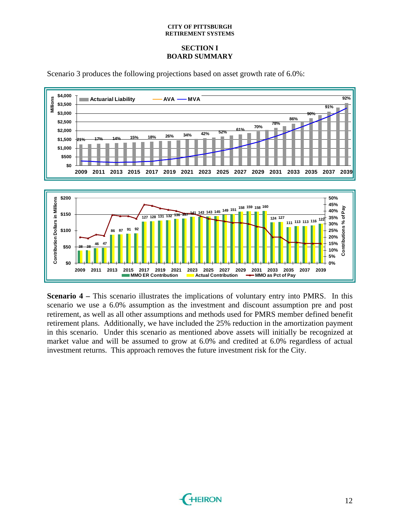### **SECTION I BOARD SUMMARY**



Scenario 3 produces the following projections based on asset growth rate of 6.0%:

**Scenario 4 – This scenario illustrates the implications of voluntary entry into PMRS. In this** scenario we use a 6.0% assumption as the investment and discount assumption pre and post retirement, as well as all other assumptions and methods used for PMRS member defined benefit retirement plans. Additionally, we have included the 25% reduction in the amortization payment in this scenario. Under this scenario as mentioned above assets will initially be recognized at market value and will be assumed to grow at 6.0% and credited at 6.0% regardless of actual investment returns. This approach removes the future investment risk for the City.

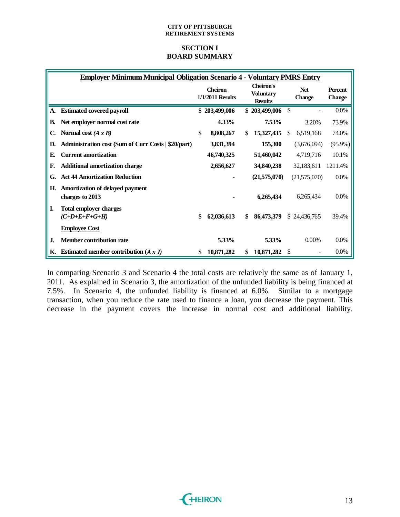### **SECTION I BOARD SUMMARY**

|    | <b>Employer Minimum Municipal Obligation Scenario 4 - Voluntary PMRS Entry</b> |                                    |                                                        |    |                             |                          |
|----|--------------------------------------------------------------------------------|------------------------------------|--------------------------------------------------------|----|-----------------------------|--------------------------|
|    |                                                                                | <b>Cheiron</b><br>1/1/2011 Results | <b>Cheiron's</b><br><b>Voluntary</b><br><b>Results</b> |    | <b>Net</b><br><b>Change</b> | Percent<br><b>Change</b> |
| A. | <b>Estimated covered payroll</b>                                               | \$203,499,006                      | \$203,499,006                                          | \$ |                             | $0.0\%$                  |
| В. | Net employer normal cost rate                                                  | 4.33%                              | 7.53%                                                  |    | 3.20%                       | 73.9%                    |
| C. | Normal cost $(A \times B)$                                                     | \$<br>8,808,267                    | \$<br>15,327,435                                       | S  | 6,519,168                   | 74.0%                    |
| D. | Administration cost (Sum of Curr Costs   \$20/part)                            | 3,831,394                          | 155,300                                                |    | (3,676,094)                 | $(95.9\%)$               |
| Е. | <b>Current amortization</b>                                                    | 46,740,325                         | 51,460,042                                             |    | 4,719,716                   | 10.1%                    |
| F. | <b>Additional amortization charge</b>                                          | 2,656,627                          | 34,840,238                                             |    | 32,183,611                  | 1211.4%                  |
| G. | <b>Act 44 Amortization Reduction</b>                                           |                                    | (21,575,070)                                           |    | (21,575,070)                | $0.0\%$                  |
| Н. | Amortization of delayed payment<br>charges to 2013                             |                                    | 6,265,434                                              |    | 6,265,434                   | 0.0%                     |
| I. | <b>Total employer charges</b><br>$(C+D+E+F+G+H)$                               | \$<br>62,036,613                   | \$<br>86,473,379                                       |    | \$24,436,765                | 39.4%                    |
|    | <b>Employee Cost</b>                                                           |                                    |                                                        |    |                             |                          |
| J. | <b>Member contribution rate</b>                                                | 5.33%                              | 5.33%                                                  |    | $0.00\%$                    | 0.0%                     |
| К. | Estimated member contribution $(A x J)$                                        | \$<br>10,871,282                   | \$<br>10,871,282                                       | S  |                             | $0.0\%$                  |

In comparing Scenario 3 and Scenario 4 the total costs are relatively the same as of January 1, 2011. As explained in Scenario 3, the amortization of the unfunded liability is being financed at 7.5%. In Scenario 4, the unfunded liability is financed at 6.0%. Similar to a mortgage transaction, when you reduce the rate used to finance a loan, you decrease the payment. This decrease in the payment covers the increase in normal cost and additional liability.

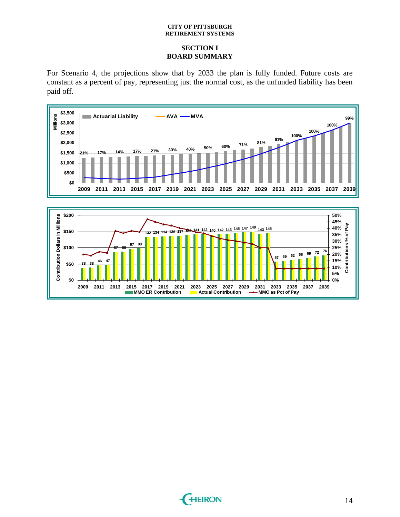### **SECTION I BOARD SUMMARY**

For Scenario 4, the projections show that by 2033 the plan is fully funded. Future costs are constant as a percent of pay, representing just the normal cost, as the unfunded liability has been paid off.



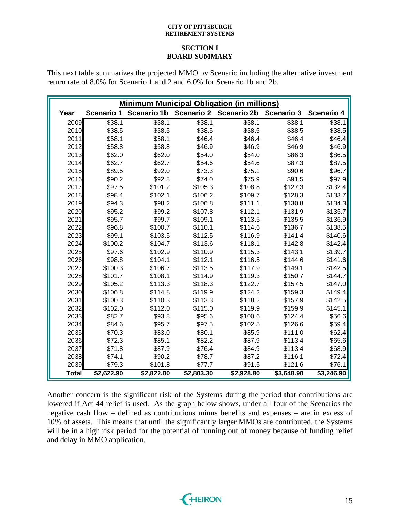### **SECTION I BOARD SUMMARY**

This next table summarizes the projected MMO by Scenario including the alternative investment return rate of 8.0% for Scenario 1 and 2 and 6.0% for Scenario 1b and 2b.

|              |                   | <b>Minimum Municipal Obligation (in millions)</b> |                   |                    |                   |                   |
|--------------|-------------------|---------------------------------------------------|-------------------|--------------------|-------------------|-------------------|
| Year         | <b>Scenario 1</b> | <b>Scenario 1b</b>                                | <b>Scenario 2</b> | <b>Scenario 2b</b> | <b>Scenario 3</b> | <b>Scenario 4</b> |
| 2009         | \$38.1            | \$38.1                                            | \$38.1            | \$38.1             | \$38.1            | \$38.1            |
| 2010         | \$38.5            | \$38.5                                            | \$38.5            | \$38.5             | \$38.5            | \$38.5            |
| 2011         | \$58.1            | \$58.1                                            | \$46.4            | \$46.4             | \$46.4            | \$46.4            |
| 2012         | \$58.8            | \$58.8                                            | \$46.9            | \$46.9             | \$46.9            | \$46.9            |
| 2013         | \$62.0            | \$62.0                                            | \$54.0            | \$54.0             | \$86.3            | \$86.5            |
| 2014         | \$62.7            | \$62.7                                            | \$54.6            | \$54.6             | \$87.3            | \$87.5            |
| 2015         | \$89.5            | \$92.0                                            | \$73.3            | \$75.1             | \$90.6            | \$96.7            |
| 2016         | \$90.2            | \$92.8                                            | \$74.0            | \$75.9             | \$91.5            | \$97.9            |
| 2017         | \$97.5            | \$101.2                                           | \$105.3           | \$108.8            | \$127.3           | \$132.4           |
| 2018         | \$98.4            | \$102.1                                           | \$106.2           | \$109.7            | \$128.3           | \$133.7           |
| 2019         | \$94.3            | \$98.2                                            | \$106.8           | \$111.1            | \$130.8           | \$134.3           |
| 2020         | \$95.2            | \$99.2                                            | \$107.8           | \$112.1            | \$131.9           | \$135.7           |
| 2021         | \$95.7            | \$99.7                                            | \$109.1           | \$113.5            | \$135.5           | \$136.9           |
| 2022         | \$96.8            | \$100.7                                           | \$110.1           | \$114.6            | \$136.7           | \$138.5           |
| 2023         | \$99.1            | \$103.5                                           | \$112.5           | \$116.9            | \$141.4           | \$140.6           |
| 2024         | \$100.2           | \$104.7                                           | \$113.6           | \$118.1            | \$142.8           | \$142.4           |
| 2025         | \$97.6            | \$102.9                                           | \$110.9           | \$115.3            | \$143.1           | \$139.7           |
| 2026         | \$98.8            | \$104.1                                           | \$112.1           | \$116.5            | \$144.6           | \$141.6           |
| 2027         | \$100.3           | \$106.7                                           | \$113.5           | \$117.9            | \$149.1           | \$142.5           |
| 2028         | \$101.7           | \$108.1                                           | \$114.9           | \$119.3            | \$150.7           | \$144.7           |
| 2029         | \$105.2           | \$113.3                                           | \$118.3           | \$122.7            | \$157.5           | \$147.0           |
| 2030         | \$106.8           | \$114.8                                           | \$119.9           | \$124.2            | \$159.3           | \$149.4           |
| 2031         | \$100.3           | \$110.3                                           | \$113.3           | \$118.2            | \$157.9           | \$142.5           |
| 2032         | \$102.0           | \$112.0                                           | \$115.0           | \$119.9            | \$159.9           | \$145.1           |
| 2033         | \$82.7            | \$93.8                                            | \$95.6            | \$100.6            | \$124.4           | \$56.6            |
| 2034         | \$84.6            | \$95.7                                            | \$97.5            | \$102.5            | \$126.6           | \$59.4            |
| 2035         | \$70.3            | \$83.0                                            | \$80.1            | \$85.9             | \$111.0           | \$62.4            |
| 2036         | \$72.3            | \$85.1                                            | \$82.2            | \$87.9             | \$113.4           | \$65.6            |
| 2037         | \$71.8            | \$87.9                                            | \$76.4            | \$84.9             | \$113.4           | \$68.9            |
| 2038         | \$74.1            | \$90.2                                            | \$78.7            | \$87.2             | \$116.1           | \$72.4            |
| 2039         | \$79.3            | \$101.8                                           | \$77.7            | \$91.5             | \$121.6           | \$76.1            |
| <b>Total</b> | \$2,622.90        | \$2,822.00                                        | \$2,803.30        | \$2,928.80         | \$3,648.90        | \$3,246.90        |

Another concern is the significant risk of the Systems during the period that contributions are lowered if Act 44 relief is used. As the graph below shows, under all four of the Scenarios the negative cash flow – defined as contributions minus benefits and expenses – are in excess of 10% of assets. This means that until the significantly larger MMOs are contributed, the Systems will be in a high risk period for the potential of running out of money because of funding relief and delay in MMO application.

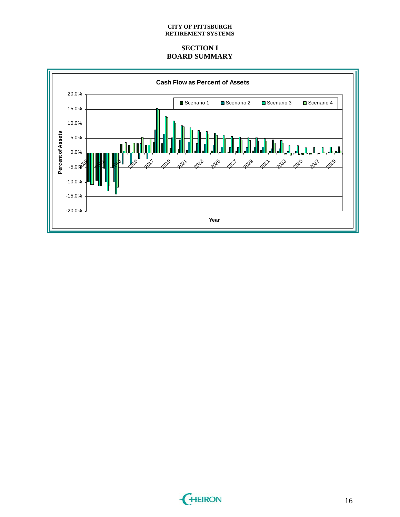### **SECTION I BOARD SUMMARY**



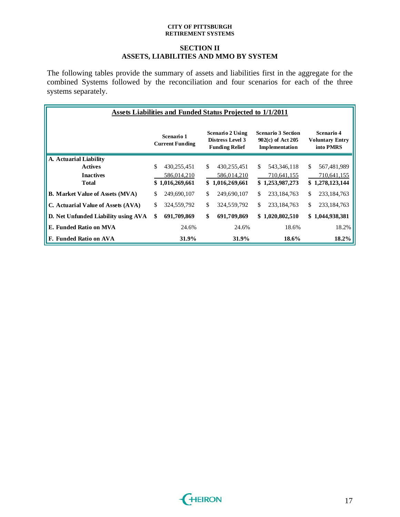### **SECTION II ASSETS, LIABILITIES AND MMO BY SYSTEM**

The following tables provide the summary of assets and liabilities first in the aggregate for the combined Systems followed by the reconciliation and four scenarios for each of the three systems separately.

| Assets Liabilities and Funded Status Projected to 1/1/2011 |    |                                      |    |                                                                      |                                                                  |                 |    |                                                   |  |  |  |
|------------------------------------------------------------|----|--------------------------------------|----|----------------------------------------------------------------------|------------------------------------------------------------------|-----------------|----|---------------------------------------------------|--|--|--|
|                                                            |    | Scenario 1<br><b>Current Funding</b> |    | Scenario 2 Using<br><b>Distress Level 3</b><br><b>Funding Relief</b> | <b>Scenario 3 Section</b><br>902(c) of Act 205<br>Implementation |                 |    | Scenario 4<br><b>Voluntary Entry</b><br>into PMRS |  |  |  |
| A. Actuarial Liability                                     |    |                                      |    |                                                                      |                                                                  |                 |    |                                                   |  |  |  |
| <b>Actives</b>                                             | \$ | 430,255,451                          | \$ | 430,255,451                                                          | \$                                                               | 543, 346, 118   | \$ | 567,481,989                                       |  |  |  |
| <b>Inactives</b>                                           |    | 586,014,210                          |    | 586,014,210                                                          |                                                                  | 710,641,155     |    | 710,641,155                                       |  |  |  |
| <b>Total</b>                                               |    | \$1,016,269,661                      |    | \$1,016,269,661                                                      |                                                                  | \$1,253,987,273 |    | \$1,278,123,144                                   |  |  |  |
| <b>B.</b> Market Value of Assets (MVA)                     | \$ | 249,690,107                          | \$ | 249,690,107                                                          | \$.                                                              | 233, 184, 763   | \$ | 233, 184, 763                                     |  |  |  |
| C. Actuarial Value of Assets (AVA)                         | \$ | 324,559,792                          | \$ | 324,559,792                                                          | \$.                                                              | 233, 184, 763   | \$ | 233, 184, 763                                     |  |  |  |
| D. Net Unfunded Liability using AVA                        | \$ | 691,709,869                          | \$ | 691,709,869                                                          |                                                                  | \$1,020,802,510 |    | \$1,044,938,381                                   |  |  |  |
| E. Funded Ratio on MVA                                     |    | 24.6%                                |    | 24.6%                                                                |                                                                  | 18.6%           |    | 18.2%                                             |  |  |  |
| F. Funded Ratio on AVA                                     |    | 31.9%                                |    | 31.9%                                                                |                                                                  | 18.6%           |    | 18.2%                                             |  |  |  |

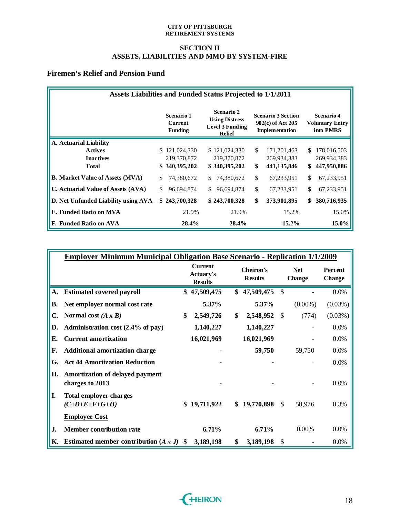### **SECTION II ASSETS, LIABILITIES AND MMO BY SYSTEM-FIRE**

# **Firemen's Relief and Pension Fund**

| <b>Assets Liabilities and Funded Status Projected to 1/1/2011</b> |                                                |                                                                                       |                                                                  |                                                          |  |  |  |  |  |  |  |
|-------------------------------------------------------------------|------------------------------------------------|---------------------------------------------------------------------------------------|------------------------------------------------------------------|----------------------------------------------------------|--|--|--|--|--|--|--|
|                                                                   | Scenario 1<br><b>Current</b><br><b>Funding</b> | <b>Scenario 2</b><br><b>Using Distress</b><br><b>Level 3 Funding</b><br><b>Relief</b> | <b>Scenario 3 Section</b><br>902(c) of Act 205<br>Implementation | <b>Scenario 4</b><br><b>Voluntary Entry</b><br>into PMRS |  |  |  |  |  |  |  |
| A. Actuarial Liability                                            |                                                |                                                                                       |                                                                  |                                                          |  |  |  |  |  |  |  |
| <b>Actives</b>                                                    | \$121,024,330                                  | \$121,024,330                                                                         | \$<br>171,201,463                                                | 178,016,503<br>\$.                                       |  |  |  |  |  |  |  |
| <b>Inactives</b>                                                  | 219,370,872                                    | 219,370,872                                                                           | 269,934,383                                                      | 269,934,383                                              |  |  |  |  |  |  |  |
| <b>Total</b>                                                      | \$340,395,202                                  | \$340,395,202                                                                         | \$<br>441,135,846                                                | 447,950,886<br>\$                                        |  |  |  |  |  |  |  |
| <b>B. Market Value of Assets (MVA)</b>                            | S<br>74,380,672                                | 74,380,672<br>S.                                                                      | \$<br>67,233,951                                                 | \$<br>67,233,951                                         |  |  |  |  |  |  |  |
| C. Actuarial Value of Assets (AVA)                                | \$<br>96,694,874                               | 96,694,874<br>\$.                                                                     | \$<br>67,233,951                                                 | \$<br>67,233,951                                         |  |  |  |  |  |  |  |
| D. Net Unfunded Liability using AVA                               | 243,700,328<br>\$.                             | \$243,700,328                                                                         | \$<br>373,901,895                                                | 380,716,935<br>\$                                        |  |  |  |  |  |  |  |
| E. Funded Ratio on MVA                                            | 21.9%                                          | 21.9%                                                                                 | 15.2%                                                            | 15.0%                                                    |  |  |  |  |  |  |  |
| F. Funded Ratio on AVA                                            | 28.4%                                          | 28.4%                                                                                 | $15.2\%$                                                         | 15.0%                                                    |  |  |  |  |  |  |  |

|    | <b>Employer Minimum Municipal Obligation Base Scenario - Replication 1/1/2009</b> |     |                                                      |                                    |           |               |                             |                          |
|----|-----------------------------------------------------------------------------------|-----|------------------------------------------------------|------------------------------------|-----------|---------------|-----------------------------|--------------------------|
|    |                                                                                   |     | <b>Current</b><br><b>Actuary's</b><br><b>Results</b> | <b>Cheiron's</b><br><b>Results</b> |           |               | <b>Net</b><br><b>Change</b> | Percent<br><b>Change</b> |
| А. | <b>Estimated covered payroll</b>                                                  | \$  | 47,509,475                                           | \$<br>47,509,475                   |           | $\mathcal{S}$ |                             | 0.0%                     |
| В. | Net employer normal cost rate                                                     |     | 5.37%                                                |                                    | 5.37%     |               | $(0.00\%)$                  | $(0.03\%)$               |
| C. | Normal cost $(A \times B)$                                                        | \$  | 2,549,726                                            | \$                                 | 2,548,952 | \$            | (774)                       | $(0.03\%)$               |
| D. | Administration cost (2.4% of pay)                                                 |     | 1,140,227                                            |                                    | 1,140,227 |               |                             | $0.0\%$                  |
| E. | <b>Current amortization</b>                                                       |     | 16,021,969                                           | 16,021,969                         |           |               |                             | 0.0%                     |
| F. | <b>Additional amortization charge</b>                                             |     |                                                      |                                    | 59,750    |               | 59,750                      | 0.0%                     |
| G. | <b>Act 44 Amortization Reduction</b>                                              |     |                                                      |                                    |           |               |                             | 0.0%                     |
| Н. | Amortization of delayed payment<br>charges to 2013                                |     |                                                      |                                    |           |               |                             | 0.0%                     |
| I. | <b>Total employer charges</b><br>$(C+D+E+F+G+H)$                                  | \$  | 19,711,922                                           | \$19,770,898                       |           | $\mathcal{S}$ | 58,976                      | 0.3%                     |
|    | <b>Employee Cost</b>                                                              |     |                                                      |                                    |           |               |                             |                          |
| J. | <b>Member contribution rate</b>                                                   |     | 6.71%                                                |                                    | 6.71%     |               | 0.00%                       | 0.0%                     |
| К. | Estimated member contribution $(A x J)$                                           | \$. | 3,189,198                                            | \$                                 | 3,189,198 | \$            |                             | $0.0\%$                  |

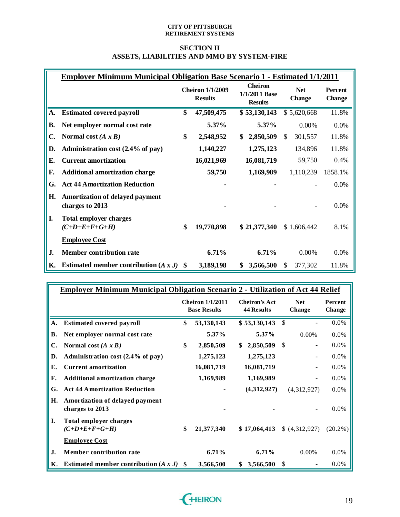### **SECTION II ASSETS, LIABILITIES AND MMO BY SYSTEM-FIRE**

|           | <b>Employer Minimum Municipal Obligation Base Scenario 1 - Estimated 1/1/2011</b> |                                           |                                                   |                             |             |                                 |
|-----------|-----------------------------------------------------------------------------------|-------------------------------------------|---------------------------------------------------|-----------------------------|-------------|---------------------------------|
|           |                                                                                   | <b>Cheiron 1/1/2009</b><br><b>Results</b> | <b>Cheiron</b><br>1/1/2011 Base<br><b>Results</b> | <b>Net</b><br><b>Change</b> |             | <b>Percent</b><br><b>Change</b> |
| A.        | <b>Estimated covered payroll</b>                                                  | \$<br>47,509,475                          | \$ 53,130,143                                     |                             | \$5,620,668 | 11.8%                           |
| <b>B.</b> | Net employer normal cost rate                                                     | 5.37%                                     | 5.37%                                             |                             | 0.00%       | 0.0%                            |
| C.        | Normal cost $(A \times B)$                                                        | \$<br>2,548,952                           | \$<br>2,850,509                                   | \$                          | 301,557     | 11.8%                           |
| D.        | Administration cost (2.4% of pay)                                                 | 1,140,227                                 | 1,275,123                                         |                             | 134,896     | 11.8%                           |
| Е.        | <b>Current amortization</b>                                                       | 16,021,969                                | 16,081,719                                        |                             | 59,750      | 0.4%                            |
| F.        | <b>Additional amortization charge</b>                                             | 59,750                                    | 1,169,989                                         |                             | 1,110,239   | 1858.1%                         |
| G.        | <b>Act 44 Amortization Reduction</b>                                              |                                           |                                                   |                             |             | 0.0%                            |
| H.        | Amortization of delayed payment<br>charges to 2013                                |                                           |                                                   |                             |             | 0.0%                            |
| I.        | <b>Total employer charges</b><br>$(C+D+E+F+G+H)$                                  | \$<br>19,770,898                          | \$21,377,340                                      |                             | \$1,606,442 | 8.1%                            |
|           | <b>Employee Cost</b>                                                              |                                           |                                                   |                             |             |                                 |
| J.        | <b>Member contribution rate</b>                                                   | 6.71%                                     | 6.71%                                             |                             | 0.00%       | 0.0%                            |
| <b>K.</b> | Estimated member contribution $(A x J)$ \$                                        | 3,189,198                                 | \$<br>3,566,500                                   | \$.                         | 377,302     | 11.8%                           |

|           | <b>Employer Minimum Municipal Obligation Scenario 2 - Utilization of Act 44 Relief</b> |     |                                                |                                           |                      |                   |
|-----------|----------------------------------------------------------------------------------------|-----|------------------------------------------------|-------------------------------------------|----------------------|-------------------|
|           |                                                                                        |     | <b>Cheiron 1/1/2011</b><br><b>Base Results</b> | <b>Cheiron's Act</b><br><b>44 Results</b> | <b>Net</b><br>Change | Percent<br>Change |
| A.        | <b>Estimated covered payroll</b>                                                       | \$  | 53,130,143                                     | \$ 53,130,143                             | $\mathbb{S}$         | 0.0%              |
| <b>B.</b> | Net employer normal cost rate                                                          |     | $5.37\%$                                       | $5.37\%$                                  | $0.00\%$             | 0.0%              |
| C.        | Normal cost $(A \times B)$                                                             | \$  | 2,850,509                                      | \$<br>2,850,509                           | \$                   | 0.0%              |
| D.        | Administration cost $(2.4\%$ of pay)                                                   |     | 1,275,123                                      | 1,275,123                                 |                      | 0.0%              |
| Е.        | <b>Current amortization</b>                                                            |     | 16,081,719                                     | 16,081,719                                |                      | 0.0%              |
| F.        | <b>Additional amortization charge</b>                                                  |     | 1,169,989                                      | 1,169,989                                 |                      | 0.0%              |
| G.        | <b>Act 44 Amortization Reduction</b>                                                   |     |                                                | (4,312,927)                               | (4,312,927)          | 0.0%              |
| H.        | Amortization of delayed payment<br>charges to 2013                                     |     |                                                |                                           |                      | 0.0%              |
| I.        | <b>Total employer charges</b><br>$(C+D+E+F+G+H)$                                       | \$  | 21,377,340                                     | \$17,064,413                              | (4,312,927)          | $(20.2\%)$        |
|           | <b>Employee Cost</b>                                                                   |     |                                                |                                           |                      |                   |
| J.        | <b>Member contribution rate</b>                                                        |     | 6.71%                                          | 6.71%                                     | $0.00\%$             | 0.0%              |
| Κ.        | Estimated member contribution $(A x J)$                                                | \$. | 3,566,500                                      | \$<br>3,566,500                           | \$                   | 0.0%              |

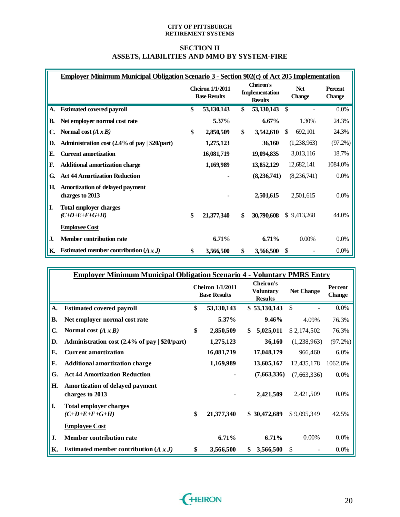### **SECTION II ASSETS, LIABILITIES AND MMO BY SYSTEM-FIRE**

|    | Employer Minimum Municipal Obligation Scenario 3 - Section 902(c) of Act 205 Implementation |                                                |                                               |                             |                                 |
|----|---------------------------------------------------------------------------------------------|------------------------------------------------|-----------------------------------------------|-----------------------------|---------------------------------|
|    |                                                                                             | <b>Cheiron 1/1/2011</b><br><b>Base Results</b> | Cheiron's<br>Implementation<br><b>Results</b> | <b>Net</b><br><b>Change</b> | <b>Percent</b><br><b>Change</b> |
| А. | <b>Estimated covered payroll</b>                                                            | \$<br>53,130,143                               | \$<br>53, 130, 143                            | $\mathcal{S}$               | $0.0\%$                         |
| В. | Net employer normal cost rate                                                               | 5.37%                                          | $6.67\%$                                      | 1.30%                       | 24.3%                           |
| C. | Normal cost $(A \times B)$                                                                  | \$<br>2,850,509                                | \$<br>3,542,610                               | \$.<br>692, 101             | 24.3%                           |
| D. | Administration cost (2.4% of pay   \$20/part)                                               | 1,275,123                                      | 36,160                                        | (1,238,963)                 | (97.2%)                         |
| E. | <b>Current amortization</b>                                                                 | 16,081,719                                     | 19,094,835                                    | 3,013,116                   | 18.7%                           |
| F. | <b>Additional amortization charge</b>                                                       | 1,169,989                                      | 13,852,129                                    | 12,682,141                  | 1084.0%                         |
| G. | <b>Act 44 Amortization Reduction</b>                                                        |                                                | (8, 236, 741)                                 | (8,236,741)                 | 0.0%                            |
| Н. | Amortization of delayed payment<br>charges to 2013                                          |                                                | 2,501,615                                     | 2,501,615                   | $0.0\%$                         |
| L  | <b>Total employer charges</b><br>$(C+D+E+F+G+H)$                                            | \$<br>21,377,340                               | \$<br>30,790,608                              | \$9,413,268                 | 44.0%                           |
|    | <b>Employee Cost</b>                                                                        |                                                |                                               |                             |                                 |
| J. | <b>Member contribution rate</b>                                                             | 6.71%                                          | 6.71%                                         | $0.00\%$                    | 0.0%                            |
| Κ. | Estimated member contribution $(A x J)$                                                     | \$<br>3,566,500                                | \$<br>3,566,500                               | S                           | $0.0\%$                         |

|              | <b>Employer Minimum Municipal Obligation Scenario 4 - Voluntary PMRS Entry</b> |                                                |     |                                                        |                   |                          |
|--------------|--------------------------------------------------------------------------------|------------------------------------------------|-----|--------------------------------------------------------|-------------------|--------------------------|
|              |                                                                                | <b>Cheiron 1/1/2011</b><br><b>Base Results</b> |     | <b>Cheiron's</b><br><b>Voluntary</b><br><b>Results</b> | <b>Net Change</b> | Percent<br><b>Change</b> |
| A.           | <b>Estimated covered payroll</b>                                               | \$<br>53,130,143                               |     | \$ 53,130,143                                          | <sup>\$</sup>     | $0.0\%$                  |
| <b>B.</b>    | Net employer normal cost rate                                                  | $5.37\%$                                       |     | $9.46\%$                                               | 4.09%             | 76.3%                    |
| $\mathbf{C}$ | Normal cost $(A \times B)$                                                     | \$<br>2,850,509                                | \$. | 5,025,011                                              | \$2,174,502       | 76.3%                    |
| D.           | Administration cost $(2.4\% \text{ of pay}   $20\%$                            | 1,275,123                                      |     | 36,160                                                 | (1,238,963)       | (97.2%)                  |
| E.           | <b>Current amortization</b>                                                    | 16,081,719                                     |     | 17,048,179                                             | 966,460           | $6.0\%$                  |
| F.           | <b>Additional amortization charge</b>                                          | 1,169,989                                      |     | 13,605,167                                             | 12,435,178        | 1062.8%                  |
| G.           | <b>Act 44 Amortization Reduction</b>                                           |                                                |     | (7,663,336)                                            | (7,663,336)       | 0.0%                     |
| H.           | Amortization of delayed payment<br>charges to 2013                             |                                                |     | 2,421,509                                              | 2,421,509         | 0.0%                     |
| I.           | <b>Total employer charges</b><br>$(C+D+E+F+G+H)$                               | \$<br>21,377,340                               |     | \$30,472,689                                           | \$9,095,349       | 42.5%                    |
|              | <b>Employee Cost</b>                                                           |                                                |     |                                                        |                   |                          |
| J.           | <b>Member contribution rate</b>                                                | $6.71\%$                                       |     | $6.71\%$                                               | $0.00\%$          | $0.0\%$                  |
| К.           | Estimated member contribution $(A x J)$                                        | \$<br>3,566,500                                | \$  | 3,566,500                                              | \$                | $0.0\%$                  |

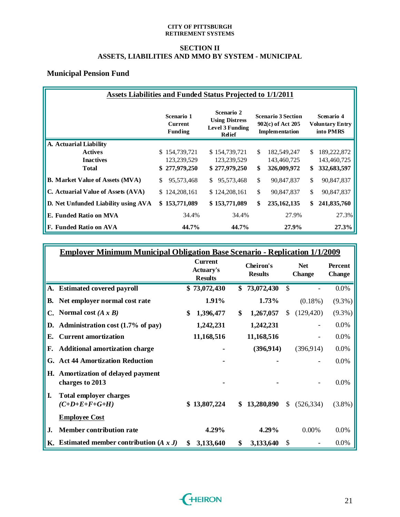## **SECTION II ASSETS, LIABILITIES AND MMO BY SYSTEM - MUNICIPAL**

# **Municipal Pension Fund**

|                                        | <b>Assets Liabilities and Funded Status Projected to 1/1/2011</b> |                                                |    |                                                                                |    |                                                                  |    |                                                   |  |  |  |  |
|----------------------------------------|-------------------------------------------------------------------|------------------------------------------------|----|--------------------------------------------------------------------------------|----|------------------------------------------------------------------|----|---------------------------------------------------|--|--|--|--|
|                                        |                                                                   | Scenario 1<br><b>Current</b><br><b>Funding</b> |    | Scenario 2<br><b>Using Distress</b><br><b>Level 3 Funding</b><br><b>Relief</b> |    | <b>Scenario 3 Section</b><br>902(c) of Act 205<br>Implementation |    | Scenario 4<br><b>Voluntary Entry</b><br>into PMRS |  |  |  |  |
| A. Actuarial Liability                 |                                                                   |                                                |    |                                                                                |    |                                                                  |    |                                                   |  |  |  |  |
| <b>Actives</b>                         |                                                                   | \$154,739,721                                  |    | \$154,739,721                                                                  | \$ | 182,549,247                                                      | S. | 189,222,872                                       |  |  |  |  |
| <b>Inactives</b>                       |                                                                   | 123,239,529                                    |    | 123,239,529                                                                    |    | 143,460,725                                                      |    | 143,460,725                                       |  |  |  |  |
| <b>Total</b>                           |                                                                   | \$277,979,250                                  |    | \$277,979,250                                                                  | \$ | 326,009,972                                                      | \$ | 332,683,597                                       |  |  |  |  |
| <b>B. Market Value of Assets (MVA)</b> | \$                                                                | 95,573,468                                     | S. | 95,573,468                                                                     | \$ | 90,847,837                                                       | \$ | 90,847,837                                        |  |  |  |  |
| C. Actuarial Value of Assets (AVA)     |                                                                   | \$124,208,161                                  |    | \$124,208,161                                                                  | \$ | 90,847,837                                                       | \$ | 90,847,837                                        |  |  |  |  |
| D. Net Unfunded Liability using AVA    |                                                                   | \$153,771,089                                  |    | \$153,771,089                                                                  | \$ | 235, 162, 135                                                    | \$ | 241,835,760                                       |  |  |  |  |
| E. Funded Ratio on MVA                 |                                                                   | 34.4%                                          |    | 34.4%                                                                          |    | 27.9%                                                            |    | 27.3%                                             |  |  |  |  |
| F. Funded Ratio on AVA                 |                                                                   | 44.7%                                          |    | 44.7%                                                                          |    | 27.9%                                                            |    | 27.3%                                             |  |  |  |  |

|    | <b>Employer Minimum Municipal Obligation Base Scenario - Replication 1/1/2009</b> |    |                                                                                     |    |                             |               |                                 |           |
|----|-----------------------------------------------------------------------------------|----|-------------------------------------------------------------------------------------|----|-----------------------------|---------------|---------------------------------|-----------|
|    |                                                                                   |    | <b>Current</b><br>Cheiron's<br><b>Actuary's</b><br><b>Results</b><br><b>Results</b> |    | <b>Net</b><br><b>Change</b> |               | <b>Percent</b><br><b>Change</b> |           |
|    | A. Estimated covered payroll                                                      |    | \$73,072,430                                                                        | \$ | 73,072,430                  | $\mathcal{S}$ |                                 | 0.0%      |
| В. | Net employer normal cost rate                                                     |    | 1.91%                                                                               |    | 1.73%                       |               | $(0.18\%)$                      | $(9.3\%)$ |
| C. | Normal cost $(A x B)$                                                             | \$ | 1,396,477                                                                           | \$ | 1,267,057                   | \$            | (129, 420)                      | $(9.3\%)$ |
| D. | Administration cost (1.7% of pay)                                                 |    | 1,242,231                                                                           |    | 1,242,231                   |               |                                 | 0.0%      |
| Е. | <b>Current amortization</b>                                                       |    | 11,168,516                                                                          |    | 11,168,516                  |               |                                 | 0.0%      |
| F. | <b>Additional amortization charge</b>                                             |    |                                                                                     |    | (396, 914)                  |               | (396, 914)                      | 0.0%      |
| G. | <b>Act 44 Amortization Reduction</b>                                              |    |                                                                                     |    |                             |               |                                 | $0.0\%$   |
| Н. | Amortization of delayed payment<br>charges to 2013                                |    |                                                                                     |    |                             |               |                                 | 0.0%      |
| I. | <b>Total employer charges</b><br>$(C+D+E+F+G+H)$                                  |    | \$13,807,224                                                                        | \$ | 13,280,890                  | \$            | (526, 334)                      | $(3.8\%)$ |
|    | <b>Employee Cost</b>                                                              |    |                                                                                     |    |                             |               |                                 |           |
| J. | <b>Member contribution rate</b>                                                   |    | 4.29%                                                                               |    | 4.29%                       |               | 0.00%                           | 0.0%      |
| К. | Estimated member contribution $(A x J)$                                           | S  | 3,133,640                                                                           | \$ | 3,133,640                   | \$            |                                 | 0.0%      |

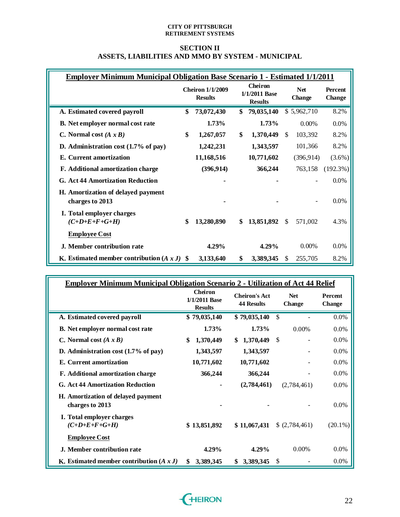### **SECTION II ASSETS, LIABILITIES AND MMO BY SYSTEM - MUNICIPAL**

| <u> Emplover Minimum Municipal Obligation Base Scenario 1 - Estimated 1/1/2011</u> |     |                                           |                                                   |                             |             |                                 |
|------------------------------------------------------------------------------------|-----|-------------------------------------------|---------------------------------------------------|-----------------------------|-------------|---------------------------------|
|                                                                                    |     | <b>Cheiron 1/1/2009</b><br><b>Results</b> | <b>Cheiron</b><br>1/1/2011 Base<br><b>Results</b> | <b>Net</b><br><b>Change</b> |             | <b>Percent</b><br><b>Change</b> |
| A. Estimated covered payroll                                                       | \$  | 73,072,430                                | \$<br>79,035,140                                  |                             | \$5,962,710 | 8.2%                            |
| <b>B.</b> Net employer normal cost rate                                            |     | 1.73%                                     | 1.73%                                             |                             | $0.00\%$    | $0.0\%$                         |
| C. Normal cost $(A x B)$                                                           | \$  | 1,267,057                                 | \$<br>1,370,449                                   | <sup>\$</sup>               | 103,392     | 8.2%                            |
| D. Administration cost $(1.7\% \text{ of pay})$                                    |     | 1,242,231                                 | 1,343,597                                         |                             | 101,366     | 8.2%                            |
| E. Current amortization                                                            |     | 11,168,516                                | 10,771,602                                        |                             | (396, 914)  | $(3.6\%)$                       |
| F. Additional amortization charge                                                  |     | (396, 914)                                | 366,244                                           |                             | 763,158     | $(192.3\%)$                     |
| <b>G. Act 44 Amortization Reduction</b>                                            |     |                                           |                                                   |                             |             | 0.0%                            |
| H. Amortization of delayed payment<br>charges to 2013                              |     |                                           |                                                   |                             |             | 0.0%                            |
| I. Total employer charges<br>$(C+D+E+F+G+H)$                                       | \$  | 13,280,890                                | \$<br>13,851,892                                  | \$.                         | 571,002     | 4.3%                            |
| <b>Employee Cost</b>                                                               |     |                                           |                                                   |                             |             |                                 |
| J. Member contribution rate                                                        |     | 4.29%                                     | $4.29\%$                                          |                             | 0.00%       | $0.0\%$                         |
| K. Estimated member contribution $(A x J)$                                         | -SS | 3,133,640                                 | \$<br>3,389,345                                   | \$                          | 255,705     | 8.2%                            |

| <b>Employer Minimum Municipal Obligation Scenario 2 - Utilization of Act 44 Relief</b> |                                            |                                           |                             |                                 |
|----------------------------------------------------------------------------------------|--------------------------------------------|-------------------------------------------|-----------------------------|---------------------------------|
|                                                                                        | Cheiron<br>1/1/2011 Base<br><b>Results</b> | <b>Cheiron's Act</b><br><b>44 Results</b> | <b>Net</b><br><b>Change</b> | <b>Percent</b><br><b>Change</b> |
| A. Estimated covered payroll                                                           | \$79,035,140                               | \$79,035,140                              | $\mathcal{S}$               | 0.0%                            |
| <b>B.</b> Net employer normal cost rate                                                | 1.73%                                      | 1.73%                                     | 0.00%                       | 0.0%                            |
| C. Normal cost $(A \times B)$                                                          | \$<br>1,370,449                            | 1,370,449<br>S.                           | \$                          | 0.0%                            |
| D. Administration cost $(1.7\% \text{ of pay})$                                        | 1,343,597                                  | 1,343,597                                 |                             | 0.0%                            |
| E. Current amortization                                                                | 10,771,602                                 | 10,771,602                                |                             | 0.0%                            |
| F. Additional amortization charge                                                      | 366,244                                    | 366,244                                   |                             | 0.0%                            |
| <b>G. Act 44 Amortization Reduction</b>                                                |                                            | (2,784,461)                               | (2,784,461)                 | $0.0\%$                         |
| H. Amortization of delayed payment<br>charges to 2013                                  |                                            |                                           |                             | $0.0\%$                         |
| I. Total employer charges<br>$(C+D+E+F+G+H)$                                           | \$13,851,892                               | \$11,067,431                              | \$ (2,784,461)              | $(20.1\%)$                      |
| <b>Employee Cost</b>                                                                   |                                            |                                           |                             |                                 |
| J. Member contribution rate                                                            | $4.29\%$                                   | $4.29\%$                                  | 0.00%                       | $0.0\%$                         |
| K. Estimated member contribution $(A x J)$                                             | 3,389,345<br>\$                            | 3,389,345<br>\$                           | \$                          | $0.0\%$                         |

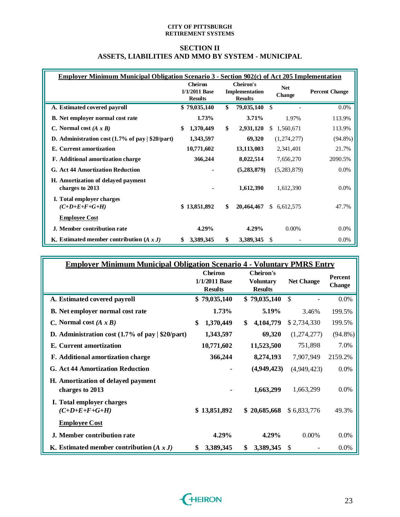### **SECTION II ASSETS, LIABILITIES AND MMO BY SYSTEM - MUNICIPAL**

|                                                              | <b>Employer Minimum Municipal Obligation Scenario 3 - Section 902(c) of Act 205 Implementation</b> |                                               |                      |                       |  |  |  |  |  |  |  |
|--------------------------------------------------------------|----------------------------------------------------------------------------------------------------|-----------------------------------------------|----------------------|-----------------------|--|--|--|--|--|--|--|
|                                                              | <b>Cheiron</b><br>1/1/2011 Base<br><b>Results</b>                                                  | Cheiron's<br>Implementation<br><b>Results</b> | <b>Net</b><br>Change | <b>Percent Change</b> |  |  |  |  |  |  |  |
| A. Estimated covered payroll                                 | \$79,035,140                                                                                       | \$<br>79,035,140                              | \$                   | 0.0%                  |  |  |  |  |  |  |  |
| <b>B.</b> Net employer normal cost rate                      | 1.73%                                                                                              | 3.71%                                         | 1.97%                | 113.9%                |  |  |  |  |  |  |  |
| C. Normal cost $(A x B)$                                     | \$<br>1,370,449                                                                                    | \$<br>2,931,120                               | \$1,560,671          | 113.9%                |  |  |  |  |  |  |  |
| D. Administration cost $(1.7\%$ of pay $\frac{1}{20}$ /part) | 1,343,597                                                                                          | 69,320                                        | (1,274,277)          | $(94.8\%)$            |  |  |  |  |  |  |  |
| E. Current amortization                                      | 10,771,602                                                                                         | 13,113,003                                    | 2,341,401            | 21.7%                 |  |  |  |  |  |  |  |
| F. Additional amortization charge                            | 366,244                                                                                            | 8,022,514                                     | 7,656,270            | 2090.5%               |  |  |  |  |  |  |  |
| <b>G. Act 44 Amortization Reduction</b>                      |                                                                                                    | (5,283,879)                                   | (5,283,879)          | $0.0\%$               |  |  |  |  |  |  |  |
| H. Amortization of delayed payment<br>charges to 2013        |                                                                                                    | 1,612,390                                     | 1,612,390            | $0.0\%$               |  |  |  |  |  |  |  |
| I. Total employer charges<br>$(C+D+E+F+G+H)$                 | \$13,851,892                                                                                       | \$<br>20,464,467                              | \$6,612,575          | 47.7%                 |  |  |  |  |  |  |  |
| <b>Employee Cost</b>                                         |                                                                                                    |                                               |                      |                       |  |  |  |  |  |  |  |
| J. Member contribution rate                                  | 4.29%                                                                                              | 4.29%                                         | $0.00\%$             | $0.0\%$               |  |  |  |  |  |  |  |
| K. Estimated member contribution $(A x J)$                   | 3,389,345<br>\$                                                                                    | \$<br>3,389,345                               | \$                   | $0.0\%$               |  |  |  |  |  |  |  |

| <b>Employer Minimum Municipal Obligation Scenario 4 - Voluntary PMRS Entry</b> |                                                     |                                                        |                   |                          |  |  |  |  |  |  |
|--------------------------------------------------------------------------------|-----------------------------------------------------|--------------------------------------------------------|-------------------|--------------------------|--|--|--|--|--|--|
|                                                                                | <b>Cheiron</b><br>$1/1/2011$ Base<br><b>Results</b> | <b>Cheiron's</b><br><b>Voluntary</b><br><b>Results</b> | <b>Net Change</b> | Percent<br><b>Change</b> |  |  |  |  |  |  |
| A. Estimated covered payroll                                                   | \$79,035,140                                        | \$79,035,140                                           | $\mathcal{S}$     | 0.0%                     |  |  |  |  |  |  |
| <b>B.</b> Net employer normal cost rate                                        | 1.73%                                               | 5.19%                                                  | 3.46%             | 199.5%                   |  |  |  |  |  |  |
| C. Normal cost $(A x B)$                                                       | \$<br>1,370,449                                     | 4,104,779<br>\$                                        | \$2,734,330       | 199.5%                   |  |  |  |  |  |  |
| D. Administration cost $(1.7\%$ of pay $ \$20/part)$                           | 1,343,597                                           | 69,320                                                 | (1,274,277)       | $(94.8\%)$               |  |  |  |  |  |  |
| E. Current amortization                                                        | 10,771,602                                          | 11,523,500                                             | 751,898           | 7.0%                     |  |  |  |  |  |  |
| F. Additional amortization charge                                              | 366,244                                             | 8,274,193                                              | 7,907,949         | 2159.2%                  |  |  |  |  |  |  |
| <b>G. Act 44 Amortization Reduction</b>                                        |                                                     | (4,949,423)                                            | (4,949,423)       | 0.0%                     |  |  |  |  |  |  |
| H. Amortization of delayed payment<br>charges to 2013                          |                                                     | 1,663,299                                              | 1,663,299         | 0.0%                     |  |  |  |  |  |  |
| I. Total employer charges<br>$(C+D+E+F+G+H)$                                   | \$13,851,892                                        | \$20,685,668                                           | \$6,833,776       | 49.3%                    |  |  |  |  |  |  |
| <b>Employee Cost</b>                                                           |                                                     |                                                        |                   |                          |  |  |  |  |  |  |
| J. Member contribution rate                                                    | 4.29%                                               | 4.29%                                                  | 0.00%             | 0.0%                     |  |  |  |  |  |  |
| K. Estimated member contribution $(A x J)$                                     | \$<br>3,389,345                                     | \$<br>3,389,345                                        | <sup>\$</sup>     | $0.0\%$                  |  |  |  |  |  |  |

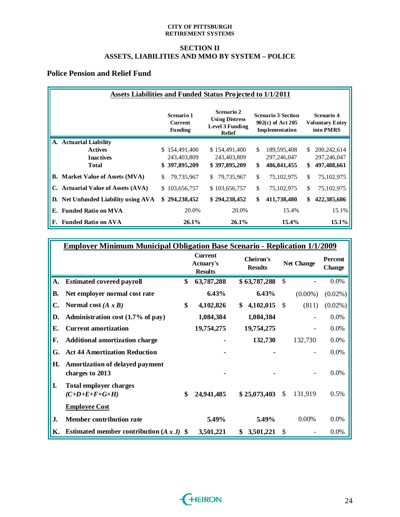### **SECTION II ASSETS, LIABILITIES AND MMO BY SYSTEM – POLICE**

# **Police Pension and Relief Fund**

|                                        | Assets Liabilities and Funded Status Projected to 1/1/2011 |                                                                                |                                                                  |                                                          |  |  |  |  |  |  |  |  |  |
|----------------------------------------|------------------------------------------------------------|--------------------------------------------------------------------------------|------------------------------------------------------------------|----------------------------------------------------------|--|--|--|--|--|--|--|--|--|
|                                        | Scenario 1<br><b>Current</b><br><b>Funding</b>             | Scenario 2<br><b>Using Distress</b><br><b>Level 3 Funding</b><br><b>Relief</b> | <b>Scenario 3 Section</b><br>902(c) of Act 205<br>Implementation | <b>Scenario 4</b><br><b>Voluntary Entry</b><br>into PMRS |  |  |  |  |  |  |  |  |  |
| A. Actuarial Liability                 |                                                            |                                                                                |                                                                  |                                                          |  |  |  |  |  |  |  |  |  |
| <b>Actives</b>                         | \$154,491,400                                              | \$154,491,400                                                                  | \$.<br>189,595,408                                               | 200,242,614<br>\$.                                       |  |  |  |  |  |  |  |  |  |
| <b>Inactives</b>                       | 243,403,809                                                | 243,403,809                                                                    | 297,246,047                                                      | 297,246,047                                              |  |  |  |  |  |  |  |  |  |
| <b>Total</b>                           | \$397,895,209                                              | \$397,895,209                                                                  | \$<br>486, 841, 455                                              | \$<br>497,488,661                                        |  |  |  |  |  |  |  |  |  |
| <b>B.</b> Market Value of Assets (MVA) | \$<br>79,735,967                                           | 79,735,967<br>\$.                                                              | \$<br>75,102,975                                                 | \$<br>75,102,975                                         |  |  |  |  |  |  |  |  |  |
| C. Actuarial Value of Assets (AVA)     | 103,656,757<br>\$.                                         | \$103,656,757                                                                  | \$<br>75,102,975                                                 | \$<br>75,102,975                                         |  |  |  |  |  |  |  |  |  |
| D. Net Unfunded Liability using AVA    | 294,238,452<br>\$                                          | \$294,238,452                                                                  | \$<br>411,738,480                                                | 422,385,686<br>\$                                        |  |  |  |  |  |  |  |  |  |
| <b>Funded Ratio on MVA</b><br>Е.       | 20.0%                                                      | 20.0%                                                                          | 15.4%                                                            | 15.1%                                                    |  |  |  |  |  |  |  |  |  |
| <b>Funded Ratio on AVA</b><br>F.       | 26.1%                                                      | $26.1\%$                                                                       | $15.4\%$                                                         | $15.1\%$                                                 |  |  |  |  |  |  |  |  |  |

|           | <b>Employer Minimum Municipal Obligation Base Scenario - Replication 1/1/2009</b> |                                                      |                             |               |                   |                          |
|-----------|-----------------------------------------------------------------------------------|------------------------------------------------------|-----------------------------|---------------|-------------------|--------------------------|
|           |                                                                                   | <b>Current</b><br><b>Actuary's</b><br><b>Results</b> | Cheiron's<br><b>Results</b> |               | <b>Net Change</b> | Percent<br><b>Change</b> |
| A.        | <b>Estimated covered payroll</b>                                                  | \$<br>63,787,288                                     | \$63,787,288                | $\mathcal{S}$ |                   | $0.0\%$                  |
| <b>B.</b> | Net employer normal cost rate                                                     | 6.43%                                                | 6.43%                       |               | $(0.00\%)$        | $(0.02\%)$               |
| C.        | Normal cost $(A \times B)$                                                        | \$<br>4,102,826                                      | \$<br>4,102,015             | $\mathbb{S}$  | (811)             | $(0.02\%)$               |
| D.        | Administration cost (1.7% of pay)                                                 | 1,084,384                                            | 1,084,384                   |               |                   | 0.0%                     |
| E.        | <b>Current amortization</b>                                                       | 19,754,275                                           | 19,754,275                  |               |                   | $0.0\%$                  |
| F.        | <b>Additional amortization charge</b>                                             |                                                      | 132,730                     |               | 132,730           | $0.0\%$                  |
| G.        | <b>Act 44 Amortization Reduction</b>                                              |                                                      |                             |               |                   | $0.0\%$                  |
| Н.        | Amortization of delayed payment<br>charges to 2013                                |                                                      |                             |               |                   | 0.0%                     |
| I.        | <b>Total employer charges</b><br>$(C+D+E+F+G+H)$                                  | \$<br>24,941,485                                     | \$25,073,403                | \$            | 131,919           | 0.5%                     |
|           | <b>Employee Cost</b>                                                              |                                                      |                             |               |                   |                          |
| J.        | Member contribution rate                                                          | 5.49%                                                | 5.49%                       |               | 0.00%             | $0.0\%$                  |
| Κ.        | Estimated member contribution $(A x J)$ \$                                        | 3,501,221                                            | \$<br>3,501,221             | \$            |                   | 0.0%                     |

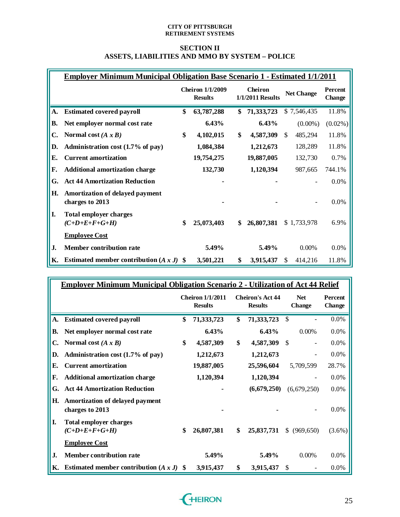### **SECTION II ASSETS, LIABILITIES AND MMO BY SYSTEM – POLICE**

|           | <b>Employer Minimum Municipal Obligation Base Scenario 1 - Estimated 1/1/2011</b> |    |                                           |    |                                    |     |                   |                                 |
|-----------|-----------------------------------------------------------------------------------|----|-------------------------------------------|----|------------------------------------|-----|-------------------|---------------------------------|
|           |                                                                                   |    | <b>Cheiron 1/1/2009</b><br><b>Results</b> |    | <b>Cheiron</b><br>1/1/2011 Results |     | <b>Net Change</b> | <b>Percent</b><br><b>Change</b> |
| A.        | <b>Estimated covered payroll</b>                                                  | \$ | 63,787,288                                | \$ | 71,333,723                         |     | \$7,546,435       | 11.8%                           |
| <b>B.</b> | Net employer normal cost rate                                                     |    | 6.43%                                     |    | 6.43%                              |     | $(0.00\%)$        | $(0.02\%)$                      |
| C.        | Normal cost $(A \times B)$                                                        | \$ | 4,102,015                                 | \$ | 4,587,309                          | S.  | 485,294           | 11.8%                           |
| D.        | Administration cost (1.7% of pay)                                                 |    | 1,084,384                                 |    | 1,212,673                          |     | 128,289           | 11.8%                           |
| E.        | <b>Current amortization</b>                                                       |    | 19,754,275                                |    | 19,887,005                         |     | 132,730           | 0.7%                            |
| F.        | <b>Additional amortization charge</b>                                             |    | 132,730                                   |    | 1,120,394                          |     | 987,665           | 744.1%                          |
| G.        | <b>Act 44 Amortization Reduction</b>                                              |    |                                           |    |                                    |     |                   | 0.0%                            |
| Н.        | Amortization of delayed payment<br>charges to 2013                                |    |                                           |    |                                    |     |                   | 0.0%                            |
| I.        | <b>Total employer charges</b><br>$(C+D+E+F+G+H)$                                  | \$ | 25,073,403                                | \$ | 26,807,381                         |     | \$1,733,978       | 6.9%                            |
|           | <b>Employee Cost</b>                                                              |    |                                           |    |                                    |     |                   |                                 |
| J.        | <b>Member contribution rate</b>                                                   |    | 5.49%                                     |    | 5.49%                              |     | 0.00%             | 0.0%                            |
| Κ.        | Estimated member contribution $(A x J)$ \$                                        |    | 3,501,221                                 | \$ | 3,915,437                          | \$. | 414,216           | 11.8%                           |

|           | <b>Employer Minimum Municipal Obligation Scenario 2 - Utilization of Act 44 Relief</b> |              |                                           |                                           |                             |                                 |
|-----------|----------------------------------------------------------------------------------------|--------------|-------------------------------------------|-------------------------------------------|-----------------------------|---------------------------------|
|           |                                                                                        |              | <b>Cheiron 1/1/2011</b><br><b>Results</b> | <b>Cheiron's Act 44</b><br><b>Results</b> | <b>Net</b><br><b>Change</b> | <b>Percent</b><br><b>Change</b> |
| <b>A.</b> | <b>Estimated covered payroll</b>                                                       | \$           | 71,333,723                                | \$<br>71,333,723                          | S                           | 0.0%                            |
| В.        | Net employer normal cost rate                                                          |              | 6.43%                                     | 6.43%                                     | 0.00%                       | 0.0%                            |
| C.        | Normal cost $(A \times B)$                                                             | \$           | 4,587,309                                 | \$<br>4,587,309                           | \$                          | 0.0%                            |
| D.        | Administration cost (1.7% of pay)                                                      |              | 1,212,673                                 | 1,212,673                                 |                             | 0.0%                            |
| E.        | <b>Current amortization</b>                                                            |              | 19,887,005                                | 25,596,604                                | 5,709,599                   | 28.7%                           |
| F.        | <b>Additional amortization charge</b>                                                  |              | 1,120,394                                 | 1,120,394                                 |                             | 0.0%                            |
| G.        | <b>Act 44 Amortization Reduction</b>                                                   |              |                                           | (6,679,250)                               | (6,679,250)                 | 0.0%                            |
| Н.        | Amortization of delayed payment<br>charges to 2013                                     |              |                                           |                                           |                             | 0.0%                            |
| I.        | <b>Total employer charges</b><br>$(C+D+E+F+G+H)$                                       | \$           | 26,807,381                                | \$<br>25,837,731                          | S.<br>(969, 650)            | $(3.6\%)$                       |
|           | <b>Employee Cost</b>                                                                   |              |                                           |                                           |                             |                                 |
| J.        | <b>Member contribution rate</b>                                                        |              | 5.49%                                     | 5.49%                                     | 0.00%                       | 0.0%                            |
| Κ.        | Estimated member contribution $(A x J)$                                                | $\mathbf{s}$ | 3,915,437                                 | \$<br>3,915,437                           | S                           | 0.0%                            |

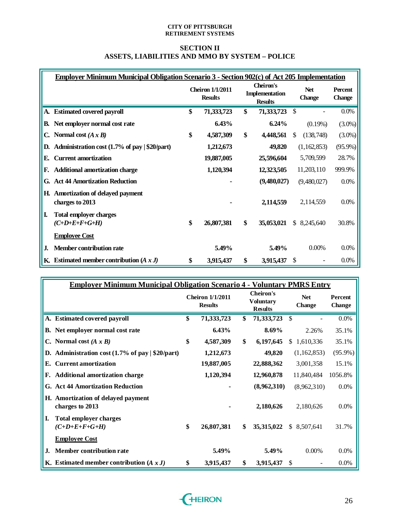### **SECTION II ASSETS, LIABILITIES AND MMO BY SYSTEM – POLICE**

|              | <b>Employer Minimum Municipal Obligation Scenario 3 - Section 902(c) of Act 205 Implementation</b> |                                           |            |                                               |              |                             |                          |
|--------------|----------------------------------------------------------------------------------------------------|-------------------------------------------|------------|-----------------------------------------------|--------------|-----------------------------|--------------------------|
|              |                                                                                                    | <b>Cheiron 1/1/2011</b><br><b>Results</b> |            | Cheiron's<br>Implementation<br><b>Results</b> |              | <b>Net</b><br><b>Change</b> | Percent<br><b>Change</b> |
|              | A. Estimated covered payroll                                                                       | \$                                        | 71,333,723 | \$                                            | 71, 333, 723 | \$                          | $0.0\%$                  |
| В.           | Net employer normal cost rate                                                                      |                                           | 6.43%      |                                               | $6.24\%$     | (0.19%)                     | $(3.0\%)$                |
| C.           | Normal cost $(A x B)$                                                                              | \$                                        | 4,587,309  | \$                                            | 4,448,561    | (138, 748)<br>S             | $(3.0\%)$                |
| D.           | Administration cost (1.7% of pay   \$20/part)                                                      |                                           | 1,212,673  |                                               | 49,820       | (1,162,853)                 | $(95.9\%)$               |
| E.           | <b>Current amortization</b>                                                                        |                                           | 19,887,005 |                                               | 25,596,604   | 5,709,599                   | 28.7%                    |
| F.           | <b>Additional amortization charge</b>                                                              |                                           | 1,120,394  |                                               | 12,323,505   | 11,203,110                  | 999.9%                   |
| G.           | <b>Act 44 Amortization Reduction</b>                                                               |                                           |            |                                               | (9,480,027)  | (9,480,027)                 | 0.0%                     |
| H.           | <b>Amortization of delayed payment</b><br>charges to 2013                                          |                                           |            |                                               | 2,114,559    | 2,114,559                   | 0.0%                     |
| II.          | <b>Total employer charges</b><br>$(C+D+E+F+G+H)$                                                   | \$                                        | 26,807,381 | \$                                            | 35,053,021   | \$8,245,640                 | 30.8%                    |
|              | <b>Employee Cost</b>                                                                               |                                           |            |                                               |              |                             |                          |
| $\mathbf{J}$ | <b>Member contribution rate</b>                                                                    |                                           | 5.49%      |                                               | 5.49%        | 0.00%                       | $0.0\%$                  |
|              | K. Estimated member contribution $(A x J)$                                                         | \$                                        | 3,915,437  | \$                                            | 3,915,437    | \$.                         | 0.0%                     |

| <b>Employer Minimum Municipal Obligation Scenario 4 - Voluntary PMRS Entry</b> |                                           |                                                        |                             |              |                          |
|--------------------------------------------------------------------------------|-------------------------------------------|--------------------------------------------------------|-----------------------------|--------------|--------------------------|
|                                                                                | <b>Cheiron 1/1/2011</b><br><b>Results</b> | <b>Cheiron's</b><br><b>Voluntary</b><br><b>Results</b> | <b>Net</b><br><b>Change</b> |              | Percent<br><b>Change</b> |
| A. Estimated covered payroll                                                   | \$<br>71,333,723                          | \$<br>71, 333, 723                                     | \$                          |              | $0.0\%$                  |
| <b>B.</b> Net employer normal cost rate                                        | 6.43%                                     | $8.69\%$                                               |                             | 2.26%        | 35.1%                    |
| Normal cost $(A \times B)$                                                     | \$<br>4,587,309                           | \$<br>6,197,645                                        | S.                          | 1,610,336    | 35.1%                    |
| Administration cost (1.7% of pay   \$20/part)<br>D.                            | 1,212,673                                 | 49,820                                                 |                             | (1,162,853)  | $(95.9\%)$               |
| <b>Current amortization</b><br>Е.                                              | 19,887,005                                | 22,888,362                                             |                             | 3,001,358    | 15.1%                    |
| <b>Additional amortization charge</b><br>F.                                    | 1,120,394                                 | 12,960,878                                             |                             | 11,840,484   | 1056.8%                  |
| G. Act 44 Amortization Reduction                                               |                                           | (8,962,310)                                            |                             | (8,962,310)  | $0.0\%$                  |
| H. Amortization of delayed payment<br>charges to 2013                          |                                           | 2,180,626                                              |                             | 2,180,626    | $0.0\%$                  |
| I.<br><b>Total employer charges</b><br>$(C+D+E+F+G+H)$                         | \$<br>26,807,381                          | \$<br>35,315,022                                       |                             | \$ 8,507,641 | 31.7%                    |
| <b>Employee Cost</b>                                                           |                                           |                                                        |                             |              |                          |
| <b>Member contribution rate</b><br>J.                                          | 5.49%                                     | 5.49%                                                  |                             | 0.00%        | $0.0\%$                  |
| K. Estimated member contribution $(A x J)$                                     | \$<br>3,915,437                           | \$<br>3,915,437                                        | \$.                         |              | $0.0\%$                  |

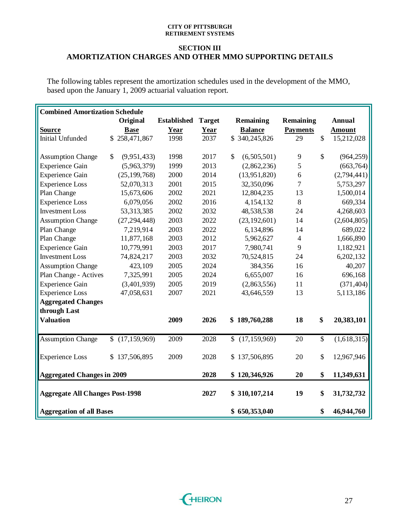### **SECTION III AMORTIZATION CHARGES AND OTHER MMO SUPPORTING DETAILS**

The following tables represent the amortization schedules used in the development of the MMO, based upon the January 1, 2009 actuarial valuation report.

| <b>Combined Amortization Schedule</b>  |               |                |                    |               |               |                |                 |                           |               |
|----------------------------------------|---------------|----------------|--------------------|---------------|---------------|----------------|-----------------|---------------------------|---------------|
|                                        |               | Original       | <b>Established</b> | <b>Target</b> |               | Remaining      | Remaining       |                           | <b>Annual</b> |
| <b>Source</b>                          |               | <b>Base</b>    | Year               | Year          |               | <b>Balance</b> | <b>Payments</b> |                           | <b>Amount</b> |
| <b>Initial Unfunded</b>                |               | \$258,471,867  | 1998               | 2037          |               | \$340,245,826  | 29              | $\boldsymbol{\mathsf{S}}$ | 15,212,028    |
|                                        |               |                |                    |               |               |                |                 |                           |               |
| <b>Assumption Change</b>               | $\mathcal{S}$ | (9,951,433)    | 1998               | 2017          | $\mathcal{S}$ | (6,505,501)    | 9               | $\mathbb{S}$              | (964, 259)    |
| <b>Experience Gain</b>                 |               | (5,963,379)    | 1999               | 2013          |               | (2,862,236)    | 5               |                           | (663, 764)    |
| <b>Experience Gain</b>                 |               | (25, 199, 768) | 2000               | 2014          |               | (13,951,820)   | 6               |                           | (2,794,441)   |
| <b>Experience Loss</b>                 |               | 52,070,313     | 2001               | 2015          |               | 32,350,096     | $\overline{7}$  |                           | 5,753,297     |
| Plan Change                            |               | 15,673,606     | 2002               | 2021          |               | 12,804,235     | 13              |                           | 1,500,014     |
| <b>Experience Loss</b>                 |               | 6,079,056      | 2002               | 2016          |               | 4,154,132      | 8               |                           | 669,334       |
| <b>Investment Loss</b>                 |               | 53, 313, 385   | 2002               | 2032          |               | 48,538,538     | 24              |                           | 4,268,603     |
| <b>Assumption Change</b>               |               | (27, 294, 448) | 2003               | 2022          |               | (23, 192, 601) | 14              |                           | (2,604,805)   |
| Plan Change                            |               | 7,219,914      | 2003               | 2022          |               | 6,134,896      | 14              |                           | 689,022       |
| Plan Change                            |               | 11,877,168     | 2003               | 2012          |               | 5,962,627      | $\overline{4}$  |                           | 1,666,890     |
| <b>Experience Gain</b>                 |               | 10,779,991     | 2003               | 2017          |               | 7,980,741      | 9               |                           | 1,182,921     |
| <b>Investment Loss</b>                 |               | 74,824,217     | 2003               | 2032          |               | 70,524,815     | 24              |                           | 6,202,132     |
| <b>Assumption Change</b>               |               | 423,109        | 2005               | 2024          |               | 384,356        | 16              |                           | 40,207        |
| Plan Change - Actives                  |               | 7,325,991      | 2005               | 2024          |               | 6,655,007      | 16              |                           | 696,168       |
| <b>Experience Gain</b>                 |               | (3,401,939)    | 2005               | 2019          |               | (2,863,556)    | 11              |                           | (371, 404)    |
| <b>Experience Loss</b>                 |               | 47,058,631     | 2007               | 2021          |               | 43,646,559     | 13              |                           | 5,113,186     |
| <b>Aggregated Changes</b>              |               |                |                    |               |               |                |                 |                           |               |
| through Last                           |               |                |                    |               |               |                |                 |                           |               |
| <b>Valuation</b>                       |               |                | 2009               | 2026          |               | \$189,760,288  | 18              | \$                        | 20,383,101    |
| <b>Assumption Change</b>               | $\mathbb{S}$  | (17, 159, 969) | 2009               | 2028          | $\mathbb{S}$  | (17, 159, 969) | 20              | \$                        | (1,618,315)   |
| <b>Experience Loss</b>                 |               | \$137,506,895  | 2009               | 2028          |               | \$137,506,895  | 20              | \$                        | 12,967,946    |
| <b>Aggregated Changes in 2009</b>      |               |                |                    | 2028          |               | \$120,346,926  | 20              | \$                        | 11,349,631    |
| <b>Aggregate All Changes Post-1998</b> |               |                |                    | 2027          |               | \$310,107,214  | 19              | \$                        | 31,732,732    |
| <b>Aggregation of all Bases</b>        |               |                |                    |               |               | \$650,353,040  |                 | \$                        | 46,944,760    |

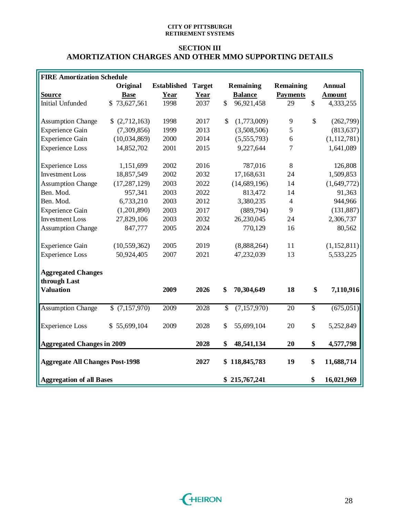### **SECTION III AMORTIZATION CHARGES AND OTHER MMO SUPPORTING DETAILS**

| <b>FIRE Amortization Schedule</b>      |                |                    |               |                            |                 |                 |               |
|----------------------------------------|----------------|--------------------|---------------|----------------------------|-----------------|-----------------|---------------|
|                                        | Original       | <b>Established</b> | <b>Target</b> | Remaining                  | Remaining       |                 | <b>Annual</b> |
| <b>Source</b>                          | <b>Base</b>    | Year               | Year          | <b>Balance</b>             | <b>Payments</b> |                 | <b>Amount</b> |
| <b>Initial Unfunded</b>                | \$73,627,561   | 1998               | 2037          | $\mathbb{S}$<br>96,921,458 | 29              | $\mathbb{S}$    | 4,333,255     |
|                                        |                |                    |               |                            |                 |                 |               |
| <b>Assumption Change</b>               | \$(2,712,163)  | 1998               | 2017          | \$<br>(1,773,009)          | 9               | $\mathbb{S}$    | (262, 799)    |
| <b>Experience Gain</b>                 | (7,309,856)    | 1999               | 2013          | (3,508,506)                | 5               |                 | (813, 637)    |
| <b>Experience Gain</b>                 | (10,034,869)   | 2000               | 2014          | (5,555,793)                | 6               |                 | (1, 112, 781) |
| <b>Experience Loss</b>                 | 14,852,702     | 2001               | 2015          | 9,227,644                  | 7               |                 | 1,641,089     |
|                                        |                |                    |               |                            |                 |                 |               |
| <b>Experience Loss</b>                 | 1,151,699      | 2002               | 2016          | 787,016                    | 8               |                 | 126,808       |
| <b>Investment Loss</b>                 | 18,857,549     | 2002               | 2032          | 17,168,631                 | 24              |                 | 1,509,853     |
| <b>Assumption Change</b>               | (17, 287, 129) | 2003               | 2022          | (14, 689, 196)             | 14              |                 | (1,649,772)   |
| Ben. Mod.                              | 957,341        | 2003               | 2022          | 813,472                    | 14              |                 | 91,363        |
| Ben. Mod.                              | 6,733,210      | 2003               | 2012          | 3,380,235                  | $\overline{4}$  |                 | 944,966       |
| <b>Experience Gain</b>                 | (1,201,890)    | 2003               | 2017          | (889,794)                  | 9               |                 | (131, 887)    |
| <b>Investment Loss</b>                 | 27,829,106     | 2003               | 2032          | 26,230,045                 | 24              |                 | 2,306,737     |
| <b>Assumption Change</b>               | 847,777        | 2005               | 2024          | 770,129                    | 16              |                 | 80,562        |
| <b>Experience Gain</b>                 | (10, 559, 362) | 2005               | 2019          | (8,888,264)                | 11              |                 | (1, 152, 811) |
| <b>Experience Loss</b>                 | 50,924,405     | 2007               | 2021          | 47,232,039                 | 13              |                 | 5,533,225     |
| <b>Aggregated Changes</b>              |                |                    |               |                            |                 |                 |               |
| through Last                           |                |                    |               |                            |                 |                 |               |
| <b>Valuation</b>                       |                | 2009               | 2026          | 70,304,649<br>\$           | 18              | \$              | 7,110,916     |
| <b>Assumption Change</b>               | \$(7,157,970)  | 2009               | 2028          | \$<br>(7,157,970)          | 20              | $\overline{\$}$ | (675, 051)    |
|                                        |                |                    |               |                            |                 |                 |               |
| <b>Experience Loss</b>                 | \$55,699,104   | 2009               | 2028          | \$<br>55,699,104           | 20              | $\mathsf{\$}$   | 5,252,849     |
| <b>Aggregated Changes in 2009</b>      |                |                    | 2028          | \$<br>48,541,134           | 20              | \$              | 4,577,798     |
| <b>Aggregate All Changes Post-1998</b> |                |                    | 2027          | 118,845,783<br>\$          | 19              | \$              | 11,688,714    |
|                                        |                |                    |               |                            |                 |                 |               |
| <b>Aggregation of all Bases</b>        |                |                    |               | \$215,767,241              |                 | \$              | 16,021,969    |

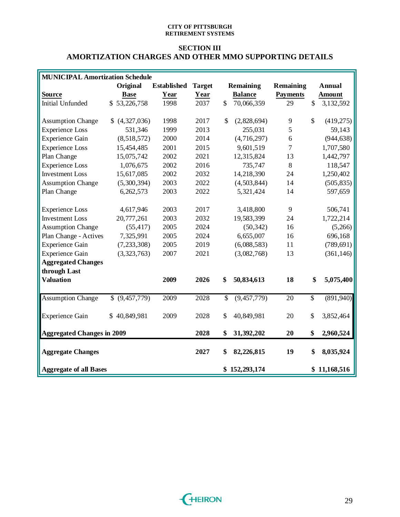### **SECTION III AMORTIZATION CHARGES AND OTHER MMO SUPPORTING DETAILS**

| <b>MUNICIPAL Amortization Schedule</b> |                |                    |               |                     |                 |                          |               |
|----------------------------------------|----------------|--------------------|---------------|---------------------|-----------------|--------------------------|---------------|
|                                        | Original       | <b>Established</b> | <b>Target</b> | <b>Remaining</b>    | Remaining       |                          | <b>Annual</b> |
| <b>Source</b>                          | <b>Base</b>    | Year               | Year          | <b>Balance</b>      | <b>Payments</b> |                          | <b>Amount</b> |
| <b>Initial Unfunded</b>                | \$53,226,758   | 1998               | 2037          | \$<br>70,066,359    | 29              | \$                       | 3,132,592     |
|                                        |                |                    |               |                     |                 |                          |               |
| <b>Assumption Change</b>               | (4,327,036)    | 1998               | 2017          | \$<br>(2,828,694)   | 9               | $\mathcal{S}$            | (419,275)     |
| <b>Experience Loss</b>                 | 531,346        | 1999               | 2013          | 255,031             | 5               |                          | 59,143        |
| <b>Experience Gain</b>                 | (8,518,572)    | 2000               | 2014          | (4,716,297)         | 6               |                          | (944, 638)    |
| <b>Experience Loss</b>                 | 15,454,485     | 2001               | 2015          | 9,601,519           | 7               |                          | 1,707,580     |
| Plan Change                            | 15,075,742     | 2002               | 2021          | 12,315,824          | 13              |                          | 1,442,797     |
| <b>Experience Loss</b>                 | 1,076,675      | 2002               | 2016          | 735,747             | 8               |                          | 118,547       |
| <b>Investment Loss</b>                 | 15,617,085     | 2002               | 2032          | 14,218,390          | 24              |                          | 1,250,402     |
| <b>Assumption Change</b>               | (5,300,394)    | 2003               | 2022          | (4,503,844)         | 14              |                          | (505, 835)    |
| Plan Change                            | 6,262,573      | 2003               | 2022          | 5,321,424           | 14              |                          | 597,659       |
|                                        |                |                    |               |                     |                 |                          |               |
| <b>Experience Loss</b>                 | 4,617,946      | 2003               | 2017          | 3,418,800           | 9               |                          | 506,741       |
| <b>Investment Loss</b>                 | 20,777,261     | 2003               | 2032          | 19,583,399          | 24              |                          | 1,722,214     |
| <b>Assumption Change</b>               | (55, 417)      | 2005               | 2024          | (50, 342)           | 16              |                          | (5,266)       |
| Plan Change - Actives                  | 7,325,991      | 2005               | 2024          | 6,655,007           | 16              |                          | 696,168       |
| <b>Experience Gain</b>                 | (7, 233, 308)  | 2005               | 2019          | (6,088,583)         | 11              |                          | (789, 691)    |
| <b>Experience Gain</b>                 | (3,323,763)    | 2007               | 2021          | (3,082,768)         | 13              |                          | (361, 146)    |
| <b>Aggregated Changes</b>              |                |                    |               |                     |                 |                          |               |
| through Last                           |                |                    |               |                     |                 |                          |               |
| <b>Valuation</b>                       |                | 2009               | 2026          | \$<br>50,834,613    | 18              | \$                       | 5,075,400     |
|                                        |                |                    |               |                     |                 |                          |               |
| <b>Assumption Change</b>               | \$ (9,457,779) | 2009               | 2028          | \$<br>(9, 457, 779) | 20              | $\overline{\mathcal{S}}$ | (891, 940)    |
| <b>Experience Gain</b>                 | \$40,849,981   | 2009               | 2028          | \$<br>40,849,981    | 20              | \$                       | 3,852,464     |
|                                        |                |                    |               |                     |                 |                          |               |
| <b>Aggregated Changes in 2009</b>      |                |                    | 2028          | \$<br>31,392,202    | 20              | \$                       | 2,960,524     |
| <b>Aggregate Changes</b>               |                |                    | 2027          | \$<br>82,226,815    | 19              | \$                       | 8,035,924     |
|                                        |                |                    |               |                     |                 |                          |               |
| <b>Aggregate of all Bases</b>          |                |                    |               | \$152,293,174       |                 |                          | \$11,168,516  |

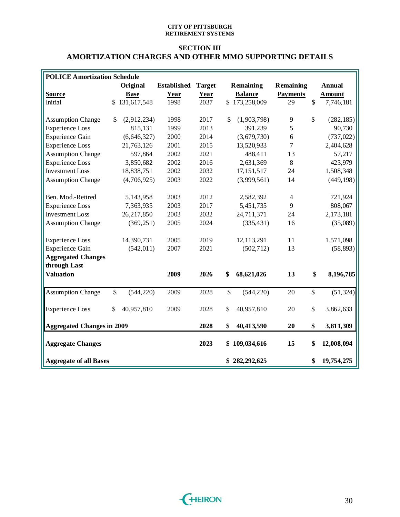### **SECTION III AMORTIZATION CHARGES AND OTHER MMO SUPPORTING DETAILS**

| <b>POLICE Amortization Schedule</b> |                               |                    |               |                   |                 |               |               |
|-------------------------------------|-------------------------------|--------------------|---------------|-------------------|-----------------|---------------|---------------|
|                                     | Original                      | <b>Established</b> | <b>Target</b> | <b>Remaining</b>  | Remaining       |               | Annual        |
| <b>Source</b>                       | <b>Base</b>                   | Year               | Year          | <b>Balance</b>    | <b>Payments</b> |               | <b>Amount</b> |
| Initial                             | \$131,617,548                 | 1998               | 2037          | \$173,258,009     | 29              | $\mathcal{S}$ | 7,746,181     |
|                                     |                               |                    |               |                   |                 |               |               |
| <b>Assumption Change</b>            | (2,912,234)<br>\$             | 1998               | 2017          | \$<br>(1,903,798) | 9               | \$            | (282, 185)    |
| <b>Experience Loss</b>              | 815,131                       | 1999               | 2013          | 391,239           | 5               |               | 90,730        |
| <b>Experience Gain</b>              | (6,646,327)                   | 2000               | 2014          | (3,679,730)       | 6               |               | (737, 022)    |
| <b>Experience Loss</b>              | 21,763,126                    | 2001               | 2015          | 13,520,933        | $\overline{7}$  |               | 2,404,628     |
| <b>Assumption Change</b>            | 597,864                       | 2002               | 2021          | 488,411           | 13              |               | 57,217        |
| <b>Experience Loss</b>              | 3,850,682                     | 2002               | 2016          | 2,631,369         | 8               |               | 423,979       |
| <b>Investment Loss</b>              | 18,838,751                    | 2002               | 2032          | 17, 151, 517      | 24              |               | 1,508,348     |
| <b>Assumption Change</b>            | (4,706,925)                   | 2003               | 2022          | (3,999,561)       | 14              |               | (449, 198)    |
|                                     |                               |                    |               |                   |                 |               |               |
| Ben. Mod.-Retired                   | 5,143,958                     | 2003               | 2012          | 2,582,392         | $\overline{4}$  |               | 721,924       |
| <b>Experience Loss</b>              | 7,363,935                     | 2003               | 2017          | 5,451,735         | 9               |               | 808,067       |
| <b>Investment Loss</b>              | 26,217,850                    | 2003               | 2032          | 24,711,371        | 24              |               | 2,173,181     |
| <b>Assumption Change</b>            | (369, 251)                    | 2005               | 2024          | (335, 431)        | 16              |               | (35,089)      |
|                                     |                               |                    |               |                   |                 |               |               |
| <b>Experience Loss</b>              | 14,390,731                    | 2005               | 2019          | 12, 113, 291      | 11              |               | 1,571,098     |
| <b>Experience Gain</b>              | (542, 011)                    | 2007               | 2021          | (502, 712)        | 13              |               | (58, 893)     |
| <b>Aggregated Changes</b>           |                               |                    |               |                   |                 |               |               |
| through Last                        |                               |                    |               |                   |                 |               |               |
| <b>Valuation</b>                    |                               | 2009               | 2026          | \$<br>68,621,026  | 13              | \$            | 8,196,785     |
|                                     |                               |                    |               |                   |                 |               |               |
| <b>Assumption Change</b>            | $\overline{\$}$<br>(544, 220) | 2009               | 2028          | \$<br>(544, 220)  | 20              | \$            | (51, 324)     |
|                                     |                               |                    |               |                   |                 |               |               |
| <b>Experience Loss</b>              | 40,957,810<br>\$              | 2009               | 2028          | \$<br>40,957,810  | 20              | $\$$          | 3,862,633     |
|                                     |                               |                    |               |                   |                 |               |               |
| <b>Aggregated Changes in 2009</b>   |                               |                    | 2028          | \$<br>40,413,590  | 20              | \$            | 3,811,309     |
|                                     |                               |                    |               |                   |                 |               |               |
| <b>Aggregate Changes</b>            |                               |                    | 2023          | \$109,034,616     | 15              | \$            | 12,008,094    |
| <b>Aggregate of all Bases</b>       |                               |                    |               | \$282,292,625     |                 | \$            | 19,754,275    |
|                                     |                               |                    |               |                   |                 |               |               |

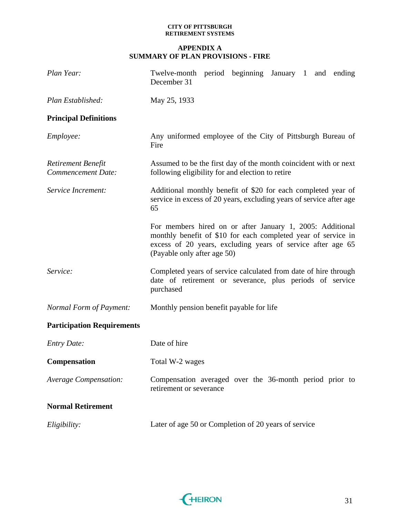### **APPENDIX A SUMMARY OF PLAN PROVISIONS - FIRE**

| Plan Year:                                      | Twelve-month period beginning January 1 and ending<br>December 31                                                                                                                                                        |
|-------------------------------------------------|--------------------------------------------------------------------------------------------------------------------------------------------------------------------------------------------------------------------------|
| Plan Established:                               | May 25, 1933                                                                                                                                                                                                             |
| <b>Principal Definitions</b>                    |                                                                                                                                                                                                                          |
| <i>Employee:</i>                                | Any uniformed employee of the City of Pittsburgh Bureau of<br>Fire                                                                                                                                                       |
| Retirement Benefit<br><b>Commencement Date:</b> | Assumed to be the first day of the month coincident with or next<br>following eligibility for and election to retire                                                                                                     |
| Service Increment:                              | Additional monthly benefit of \$20 for each completed year of<br>service in excess of 20 years, excluding years of service after age<br>65                                                                               |
|                                                 | For members hired on or after January 1, 2005: Additional<br>monthly benefit of \$10 for each completed year of service in<br>excess of 20 years, excluding years of service after age 65<br>(Payable only after age 50) |
| Service:                                        | Completed years of service calculated from date of hire through<br>date of retirement or severance, plus periods of service<br>purchased                                                                                 |
| Normal Form of Payment:                         | Monthly pension benefit payable for life                                                                                                                                                                                 |
| <b>Participation Requirements</b>               |                                                                                                                                                                                                                          |
| <b>Entry Date:</b>                              | Date of hire                                                                                                                                                                                                             |
| <b>Compensation</b>                             | Total W-2 wages                                                                                                                                                                                                          |
| <b>Average Compensation:</b>                    | Compensation averaged over the 36-month period prior to<br>retirement or severance                                                                                                                                       |
| <b>Normal Retirement</b>                        |                                                                                                                                                                                                                          |
| Eligibility:                                    | Later of age 50 or Completion of 20 years of service                                                                                                                                                                     |

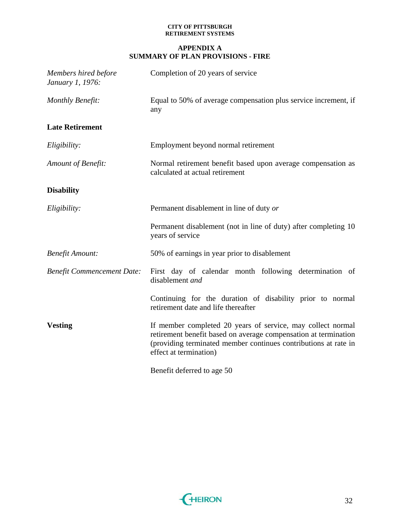### **APPENDIX A SUMMARY OF PLAN PROVISIONS - FIRE**

| Members hired before<br>January 1, 1976: | Completion of 20 years of service                                                                                                                                                                                           |  |  |  |
|------------------------------------------|-----------------------------------------------------------------------------------------------------------------------------------------------------------------------------------------------------------------------------|--|--|--|
| <b>Monthly Benefit:</b>                  | Equal to 50% of average compensation plus service increment, if<br>any                                                                                                                                                      |  |  |  |
| <b>Late Retirement</b>                   |                                                                                                                                                                                                                             |  |  |  |
| Eligibility:                             | Employment beyond normal retirement                                                                                                                                                                                         |  |  |  |
| Amount of Benefit:                       | Normal retirement benefit based upon average compensation as<br>calculated at actual retirement                                                                                                                             |  |  |  |
| <b>Disability</b>                        |                                                                                                                                                                                                                             |  |  |  |
| Eligibility:                             | Permanent disablement in line of duty or                                                                                                                                                                                    |  |  |  |
|                                          | Permanent disablement (not in line of duty) after completing 10<br>years of service                                                                                                                                         |  |  |  |
| <b>Benefit Amount:</b>                   | 50% of earnings in year prior to disablement                                                                                                                                                                                |  |  |  |
| <b>Benefit Commencement Date:</b>        | First day of calendar month following determination of<br>disablement and                                                                                                                                                   |  |  |  |
|                                          | Continuing for the duration of disability prior to normal<br>retirement date and life thereafter                                                                                                                            |  |  |  |
| <b>Vesting</b>                           | If member completed 20 years of service, may collect normal<br>retirement benefit based on average compensation at termination<br>(providing terminated member continues contributions at rate in<br>effect at termination) |  |  |  |
|                                          | Benefit deferred to age 50                                                                                                                                                                                                  |  |  |  |

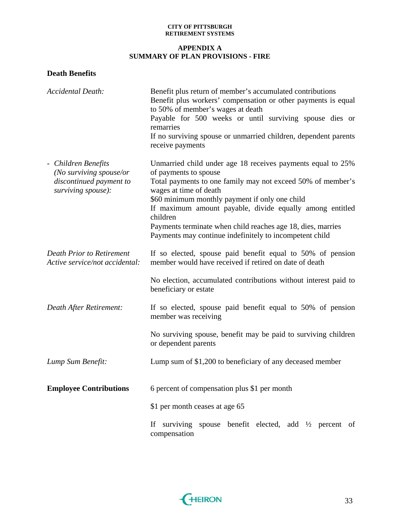### **APPENDIX A SUMMARY OF PLAN PROVISIONS - FIRE**

# **Death Benefits**

| <b>Accidental Death:</b>                                                                        | Benefit plus return of member's accumulated contributions<br>Benefit plus workers' compensation or other payments is equal<br>to 50% of member's wages at death<br>Payable for 500 weeks or until surviving spouse dies or<br>remarries<br>If no surviving spouse or unmarried children, dependent parents<br>receive payments                                                                                                    |
|-------------------------------------------------------------------------------------------------|-----------------------------------------------------------------------------------------------------------------------------------------------------------------------------------------------------------------------------------------------------------------------------------------------------------------------------------------------------------------------------------------------------------------------------------|
| - Children Benefits<br>(No surviving spouse/or<br>discontinued payment to<br>surviving spouse): | Unmarried child under age 18 receives payments equal to 25%<br>of payments to spouse<br>Total payments to one family may not exceed 50% of member's<br>wages at time of death<br>\$60 minimum monthly payment if only one child<br>If maximum amount payable, divide equally among entitled<br>children<br>Payments terminate when child reaches age 18, dies, marries<br>Payments may continue indefinitely to incompetent child |
| <b>Death Prior to Retirement</b><br>Active service/not accidental:                              | If so elected, spouse paid benefit equal to 50% of pension<br>member would have received if retired on date of death<br>No election, accumulated contributions without interest paid to                                                                                                                                                                                                                                           |
|                                                                                                 | beneficiary or estate                                                                                                                                                                                                                                                                                                                                                                                                             |
| Death After Retirement:                                                                         | If so elected, spouse paid benefit equal to 50% of pension<br>member was receiving                                                                                                                                                                                                                                                                                                                                                |
|                                                                                                 | No surviving spouse, benefit may be paid to surviving children<br>or dependent parents                                                                                                                                                                                                                                                                                                                                            |
| Lump Sum Benefit:                                                                               | Lump sum of \$1,200 to beneficiary of any deceased member                                                                                                                                                                                                                                                                                                                                                                         |
| <b>Employee Contributions</b>                                                                   | 6 percent of compensation plus \$1 per month                                                                                                                                                                                                                                                                                                                                                                                      |
|                                                                                                 | \$1 per month ceases at age 65                                                                                                                                                                                                                                                                                                                                                                                                    |
|                                                                                                 | surviving spouse benefit elected, add $\frac{1}{2}$ percent of<br>If<br>compensation                                                                                                                                                                                                                                                                                                                                              |

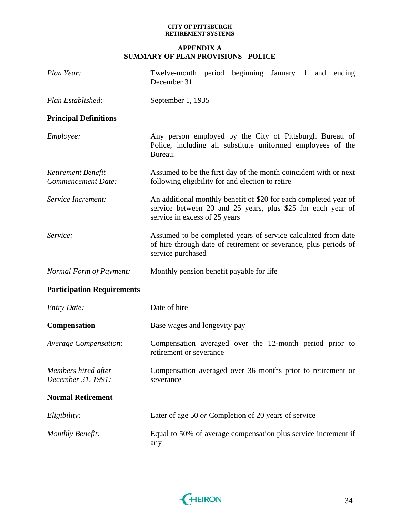### **APPENDIX A SUMMARY OF PLAN PROVISIONS - POLICE**

| Plan Year:                                             | Twelve-month period beginning January 1 and ending<br>December 31                                                                                                |  |  |  |  |  |  |
|--------------------------------------------------------|------------------------------------------------------------------------------------------------------------------------------------------------------------------|--|--|--|--|--|--|
| Plan Established:                                      | September 1, 1935                                                                                                                                                |  |  |  |  |  |  |
| <b>Principal Definitions</b>                           |                                                                                                                                                                  |  |  |  |  |  |  |
| Employee:                                              | Any person employed by the City of Pittsburgh Bureau of<br>Police, including all substitute uniformed employees of the<br>Bureau.                                |  |  |  |  |  |  |
| <b>Retirement Benefit</b><br><b>Commencement Date:</b> | Assumed to be the first day of the month coincident with or next<br>following eligibility for and election to retire                                             |  |  |  |  |  |  |
| Service Increment:                                     | An additional monthly benefit of \$20 for each completed year of<br>service between 20 and 25 years, plus \$25 for each year of<br>service in excess of 25 years |  |  |  |  |  |  |
| Service:                                               | Assumed to be completed years of service calculated from date<br>of hire through date of retirement or severance, plus periods of<br>service purchased           |  |  |  |  |  |  |
| Normal Form of Payment:                                | Monthly pension benefit payable for life                                                                                                                         |  |  |  |  |  |  |
| <b>Participation Requirements</b>                      |                                                                                                                                                                  |  |  |  |  |  |  |
| <b>Entry Date:</b>                                     | Date of hire                                                                                                                                                     |  |  |  |  |  |  |
| <b>Compensation</b>                                    | Base wages and longevity pay                                                                                                                                     |  |  |  |  |  |  |
| Average Compensation:                                  | Compensation averaged over the 12-month period prior to<br>retirement or severance                                                                               |  |  |  |  |  |  |
| Members hired after<br>December 31, 1991:              | Compensation averaged over 36 months prior to retirement or<br>severance                                                                                         |  |  |  |  |  |  |
| <b>Normal Retirement</b>                               |                                                                                                                                                                  |  |  |  |  |  |  |
| Eligibility:                                           | Later of age 50 or Completion of 20 years of service                                                                                                             |  |  |  |  |  |  |
| <b>Monthly Benefit:</b>                                | Equal to 50% of average compensation plus service increment if<br>any                                                                                            |  |  |  |  |  |  |

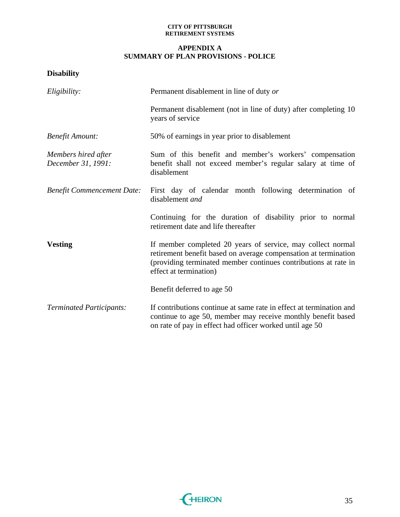### **APPENDIX A SUMMARY OF PLAN PROVISIONS - POLICE**

# **Disability**

| Eligibility:                              | Permanent disablement in line of duty or                                                                                                                                                                                    |  |  |
|-------------------------------------------|-----------------------------------------------------------------------------------------------------------------------------------------------------------------------------------------------------------------------------|--|--|
|                                           | Permanent disablement (not in line of duty) after completing 10<br>years of service                                                                                                                                         |  |  |
| <b>Benefit Amount:</b>                    | 50% of earnings in year prior to disablement                                                                                                                                                                                |  |  |
| Members hired after<br>December 31, 1991: | Sum of this benefit and member's workers' compensation<br>benefit shall not exceed member's regular salary at time of<br>disablement                                                                                        |  |  |
| <b>Benefit Commencement Date:</b>         | First day of calendar month following determination of<br>disablement and                                                                                                                                                   |  |  |
|                                           | Continuing for the duration of disability prior to normal<br>retirement date and life thereafter                                                                                                                            |  |  |
| <b>Vesting</b>                            | If member completed 20 years of service, may collect normal<br>retirement benefit based on average compensation at termination<br>(providing terminated member continues contributions at rate in<br>effect at termination) |  |  |
|                                           | Benefit deferred to age 50                                                                                                                                                                                                  |  |  |
| <b>Terminated Participants:</b>           | If contributions continue at same rate in effect at termination and<br>continue to age 50, member may receive monthly benefit based<br>on rate of pay in effect had officer worked until age 50                             |  |  |

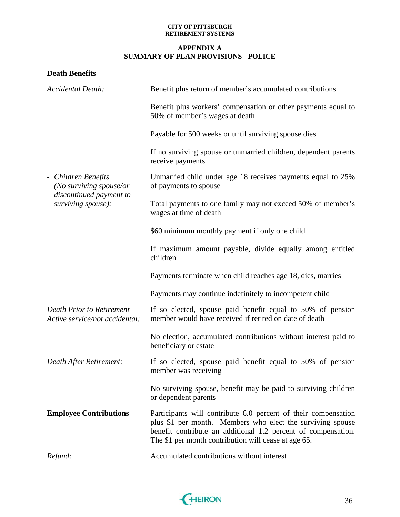### **APPENDIX A SUMMARY OF PLAN PROVISIONS - POLICE**

# **Death Benefits**

| <b>Accidental Death:</b>                                           | Benefit plus return of member's accumulated contributions                                                                                                                                                                                             |  |  |
|--------------------------------------------------------------------|-------------------------------------------------------------------------------------------------------------------------------------------------------------------------------------------------------------------------------------------------------|--|--|
|                                                                    | Benefit plus workers' compensation or other payments equal to<br>50% of member's wages at death                                                                                                                                                       |  |  |
|                                                                    | Payable for 500 weeks or until surviving spouse dies                                                                                                                                                                                                  |  |  |
|                                                                    | If no surviving spouse or unmarried children, dependent parents<br>receive payments                                                                                                                                                                   |  |  |
| - Children Benefits<br>(No surviving spouse/or                     | Unmarried child under age 18 receives payments equal to 25%<br>of payments to spouse                                                                                                                                                                  |  |  |
| discontinued payment to<br>surviving spouse):                      | Total payments to one family may not exceed 50% of member's<br>wages at time of death                                                                                                                                                                 |  |  |
|                                                                    | \$60 minimum monthly payment if only one child                                                                                                                                                                                                        |  |  |
|                                                                    | If maximum amount payable, divide equally among entitled<br>children                                                                                                                                                                                  |  |  |
|                                                                    | Payments terminate when child reaches age 18, dies, marries                                                                                                                                                                                           |  |  |
|                                                                    | Payments may continue indefinitely to incompetent child                                                                                                                                                                                               |  |  |
| <b>Death Prior to Retirement</b><br>Active service/not accidental: | If so elected, spouse paid benefit equal to 50% of pension<br>member would have received if retired on date of death                                                                                                                                  |  |  |
|                                                                    | No election, accumulated contributions without interest paid to<br>beneficiary or estate                                                                                                                                                              |  |  |
| Death After Retirement:                                            | If so elected, spouse paid benefit equal to 50% of pension<br>member was receiving                                                                                                                                                                    |  |  |
|                                                                    | No surviving spouse, benefit may be paid to surviving children<br>or dependent parents                                                                                                                                                                |  |  |
| <b>Employee Contributions</b>                                      | Participants will contribute 6.0 percent of their compensation<br>plus \$1 per month. Members who elect the surviving spouse<br>benefit contribute an additional 1.2 percent of compensation.<br>The \$1 per month contribution will cease at age 65. |  |  |
| Refund:                                                            | Accumulated contributions without interest                                                                                                                                                                                                            |  |  |

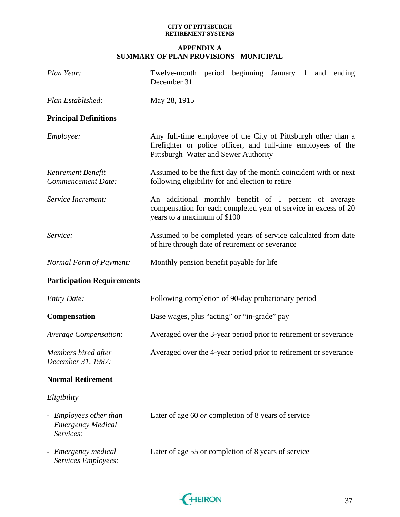| Plan Year:                                                      | Twelve-month period beginning January 1 and ending<br>December 31                                                                                                      |  |  |
|-----------------------------------------------------------------|------------------------------------------------------------------------------------------------------------------------------------------------------------------------|--|--|
| Plan Established:                                               | May 28, 1915                                                                                                                                                           |  |  |
| <b>Principal Definitions</b>                                    |                                                                                                                                                                        |  |  |
| Employee:                                                       | Any full-time employee of the City of Pittsburgh other than a<br>firefighter or police officer, and full-time employees of the<br>Pittsburgh Water and Sewer Authority |  |  |
| Retirement Benefit<br><b>Commencement Date:</b>                 | Assumed to be the first day of the month coincident with or next<br>following eligibility for and election to retire                                                   |  |  |
| Service Increment:                                              | An additional monthly benefit of 1 percent of average<br>compensation for each completed year of service in excess of 20<br>years to a maximum of \$100                |  |  |
| Service:                                                        | Assumed to be completed years of service calculated from date<br>of hire through date of retirement or severance                                                       |  |  |
| Normal Form of Payment:                                         | Monthly pension benefit payable for life                                                                                                                               |  |  |
| <b>Participation Requirements</b>                               |                                                                                                                                                                        |  |  |
| <b>Entry Date:</b>                                              | Following completion of 90-day probationary period                                                                                                                     |  |  |
| <b>Compensation</b>                                             | Base wages, plus "acting" or "in-grade" pay                                                                                                                            |  |  |
| Average Compensation:                                           | Averaged over the 3-year period prior to retirement or severance                                                                                                       |  |  |
| Members hired after<br>December 31, 1987:                       | Averaged over the 4-year period prior to retirement or severance                                                                                                       |  |  |
| <b>Normal Retirement</b>                                        |                                                                                                                                                                        |  |  |
| Eligibility                                                     |                                                                                                                                                                        |  |  |
| - Employees other than<br><b>Emergency Medical</b><br>Services: | Later of age 60 <i>or</i> completion of 8 years of service                                                                                                             |  |  |
| - Emergency medical<br>Services Employees:                      | Later of age 55 or completion of 8 years of service                                                                                                                    |  |  |

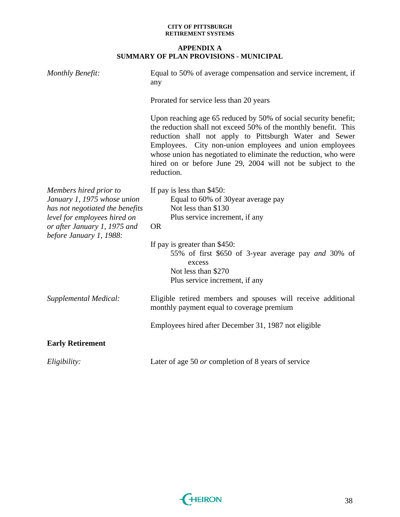| Monthly Benefit:                                                                                                                                                                    | Equal to 50% of average compensation and service increment, if<br>any                                                                                                                                                                                                                                                                                                                                    |  |
|-------------------------------------------------------------------------------------------------------------------------------------------------------------------------------------|----------------------------------------------------------------------------------------------------------------------------------------------------------------------------------------------------------------------------------------------------------------------------------------------------------------------------------------------------------------------------------------------------------|--|
|                                                                                                                                                                                     | Prorated for service less than 20 years                                                                                                                                                                                                                                                                                                                                                                  |  |
|                                                                                                                                                                                     | Upon reaching age 65 reduced by 50% of social security benefit;<br>the reduction shall not exceed 50% of the monthly benefit. This<br>reduction shall not apply to Pittsburgh Water and Sewer<br>Employees. City non-union employees and union employees<br>whose union has negotiated to eliminate the reduction, who were<br>hired on or before June 29, 2004 will not be subject to the<br>reduction. |  |
| Members hired prior to<br>January 1, 1975 whose union<br>has not negotiated the benefits<br>level for employees hired on<br>or after January 1, 1975 and<br>before January 1, 1988: | If pay is less than \$450:<br>Equal to 60% of 30year average pay<br>Not less than \$130<br>Plus service increment, if any<br><b>OR</b>                                                                                                                                                                                                                                                                   |  |
|                                                                                                                                                                                     | If pay is greater than \$450:<br>55% of first \$650 of 3-year average pay <i>and</i> 30% of<br>excess<br>Not less than \$270<br>Plus service increment, if any                                                                                                                                                                                                                                           |  |
| Supplemental Medical:                                                                                                                                                               | Eligible retired members and spouses will receive additional<br>monthly payment equal to coverage premium                                                                                                                                                                                                                                                                                                |  |
|                                                                                                                                                                                     | Employees hired after December 31, 1987 not eligible                                                                                                                                                                                                                                                                                                                                                     |  |
| <b>Early Retirement</b>                                                                                                                                                             |                                                                                                                                                                                                                                                                                                                                                                                                          |  |
| Eligibility:                                                                                                                                                                        | Later of age 50 or completion of 8 years of service                                                                                                                                                                                                                                                                                                                                                      |  |

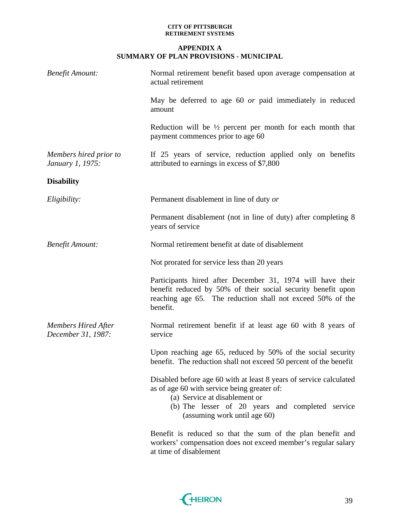| <b>Benefit Amount:</b>                           | Normal retirement benefit based upon average compensation at<br>actual retirement                                                                                                                                                      |  |
|--------------------------------------------------|----------------------------------------------------------------------------------------------------------------------------------------------------------------------------------------------------------------------------------------|--|
|                                                  | May be deferred to age 60 or paid immediately in reduced<br>amount                                                                                                                                                                     |  |
|                                                  | Reduction will be $\frac{1}{2}$ percent per month for each month that<br>payment commences prior to age 60                                                                                                                             |  |
| Members hired prior to<br>January 1, 1975:       | If 25 years of service, reduction applied only on benefits<br>attributed to earnings in excess of \$7,800                                                                                                                              |  |
| <b>Disability</b>                                |                                                                                                                                                                                                                                        |  |
| Eligibility:                                     | Permanent disablement in line of duty or                                                                                                                                                                                               |  |
|                                                  | Permanent disablement (not in line of duty) after completing 8<br>years of service                                                                                                                                                     |  |
| <b>Benefit Amount:</b>                           | Normal retirement benefit at date of disablement                                                                                                                                                                                       |  |
|                                                  | Not prorated for service less than 20 years                                                                                                                                                                                            |  |
|                                                  | Participants hired after December 31, 1974 will have their<br>benefit reduced by 50% of their social security benefit upon<br>reaching age 65. The reduction shall not exceed 50% of the<br>benefit.                                   |  |
| <b>Members Hired After</b><br>December 31, 1987: | Normal retirement benefit if at least age 60 with 8 years of<br>service                                                                                                                                                                |  |
|                                                  | Upon reaching age 65, reduced by 50% of the social security<br>benefit. The reduction shall not exceed 50 percent of the benefit                                                                                                       |  |
|                                                  | Disabled before age 60 with at least 8 years of service calculated<br>as of age 60 with service being greater of:<br>(a) Service at disablement or<br>(b) The lesser of 20 years and completed service<br>(assuming work until age 60) |  |
|                                                  | Benefit is reduced so that the sum of the plan benefit and<br>workers' compensation does not exceed member's regular salary<br>at time of disablement                                                                                  |  |

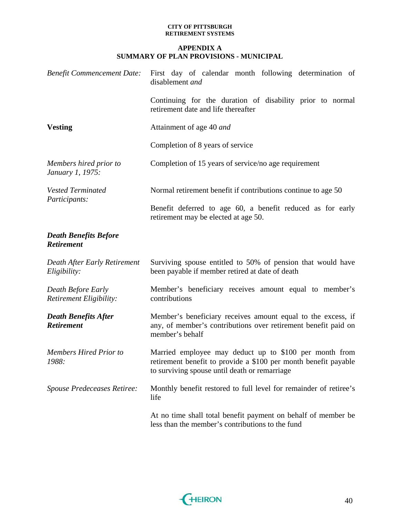| <b>Benefit Commencement Date:</b>                    | First day of calendar month following determination of<br>disablement and                                                                                                  |  |
|------------------------------------------------------|----------------------------------------------------------------------------------------------------------------------------------------------------------------------------|--|
|                                                      | Continuing for the duration of disability prior to normal<br>retirement date and life thereafter                                                                           |  |
| <b>Vesting</b>                                       | Attainment of age 40 and                                                                                                                                                   |  |
|                                                      | Completion of 8 years of service                                                                                                                                           |  |
| Members hired prior to<br>January 1, 1975:           | Completion of 15 years of service/no age requirement                                                                                                                       |  |
| <b>Vested Terminated</b><br>Participants:            | Normal retirement benefit if contributions continue to age 50                                                                                                              |  |
|                                                      | Benefit deferred to age 60, a benefit reduced as for early<br>retirement may be elected at age 50.                                                                         |  |
| <b>Death Benefits Before</b><br><b>Retirement</b>    |                                                                                                                                                                            |  |
| Death After Early Retirement<br>Eligibility:         | Surviving spouse entitled to 50% of pension that would have<br>been payable if member retired at date of death                                                             |  |
| <b>Death Before Early</b><br>Retirement Eligibility: | Member's beneficiary receives amount equal to member's<br>contributions                                                                                                    |  |
| <b>Death Benefits After</b><br><b>Retirement</b>     | Member's beneficiary receives amount equal to the excess, if<br>any, of member's contributions over retirement benefit paid on<br>member's behalf                          |  |
| <b>Members Hired Prior to</b><br>1988:               | Married employee may deduct up to \$100 per month from<br>retirement benefit to provide a \$100 per month benefit payable<br>to surviving spouse until death or remarriage |  |
| Spouse Predeceases Retiree:                          | Monthly benefit restored to full level for remainder of retiree's<br>life                                                                                                  |  |
|                                                      | At no time shall total benefit payment on behalf of member be<br>less than the member's contributions to the fund                                                          |  |

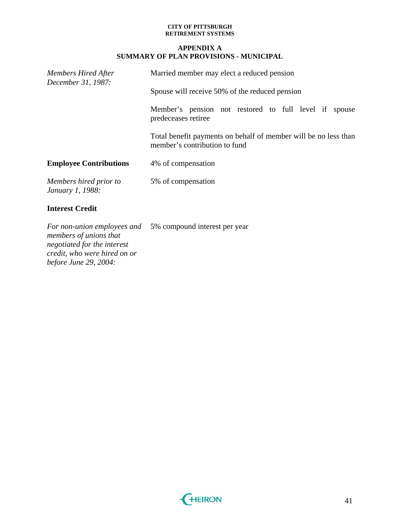### **APPENDIX A SUMMARY OF PLAN PROVISIONS - MUNICIPAL**

| <b>Members Hired After</b><br>December 31, 1987: | Married member may elect a reduced pension                                                       |  |
|--------------------------------------------------|--------------------------------------------------------------------------------------------------|--|
|                                                  | Spouse will receive 50% of the reduced pension                                                   |  |
|                                                  | Member's pension not restored to full level if<br>spouse<br>predeceases retiree                  |  |
|                                                  | Total benefit payments on behalf of member will be no less than<br>member's contribution to fund |  |
| <b>Employee Contributions</b>                    | 4% of compensation                                                                               |  |
| Members hired prior to<br>January 1, 1988:       | 5% of compensation                                                                               |  |
| <b>Interest Credit</b>                           |                                                                                                  |  |
|                                                  | For non-union employees and 5% compound interest per year                                        |  |

*members of unions that negotiated for the interest credit, who were hired on or before June 29, 2004:* 

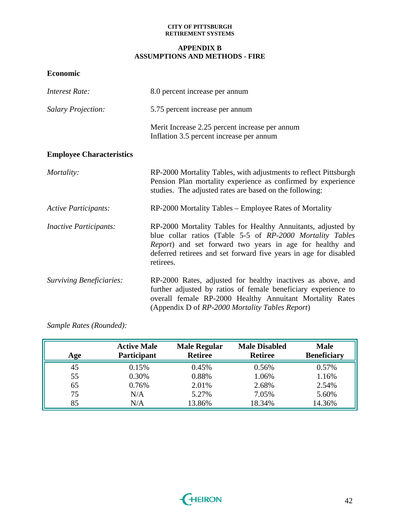### **APPENDIX B ASSUMPTIONS AND METHODS - FIRE**

**Economic** 

| <b>Interest Rate:</b>           | 8.0 percent increase per annum                                                                                                                                                                                                                                         |  |
|---------------------------------|------------------------------------------------------------------------------------------------------------------------------------------------------------------------------------------------------------------------------------------------------------------------|--|
| <b>Salary Projection:</b>       | 5.75 percent increase per annum                                                                                                                                                                                                                                        |  |
|                                 | Merit Increase 2.25 percent increase per annum<br>Inflation 3.5 percent increase per annum                                                                                                                                                                             |  |
| <b>Employee Characteristics</b> |                                                                                                                                                                                                                                                                        |  |
| Mortality:                      | RP-2000 Mortality Tables, with adjustments to reflect Pittsburgh<br>Pension Plan mortality experience as confirmed by experience<br>studies. The adjusted rates are based on the following:                                                                            |  |
| <b>Active Participants:</b>     | RP-2000 Mortality Tables – Employee Rates of Mortality                                                                                                                                                                                                                 |  |
| <b>Inactive Participants:</b>   | RP-2000 Mortality Tables for Healthy Annuitants, adjusted by<br>blue collar ratios (Table 5-5 of RP-2000 Mortality Tables<br>Report) and set forward two years in age for healthy and<br>deferred retirees and set forward five years in age for disabled<br>retirees. |  |
| <b>Surviving Beneficiaries:</b> | RP-2000 Rates, adjusted for healthy inactives as above, and<br>further adjusted by ratios of female beneficiary experience to<br>overall female RP-2000 Healthy Annuitant Mortality Rates<br>(Appendix D of RP-2000 Mortality Tables Report)                           |  |

*Sample Rates (Rounded):* 

| Age | <b>Active Male</b><br>Participant | <b>Male Regular</b><br><b>Retiree</b> | <b>Male Disabled</b><br><b>Retiree</b> | <b>Male</b><br><b>Beneficiary</b> |
|-----|-----------------------------------|---------------------------------------|----------------------------------------|-----------------------------------|
| 45  | 0.15%                             | 0.45%                                 | 0.56%                                  | 0.57%                             |
| 55  | 0.30%                             | 0.88%                                 | 1.06%                                  | 1.16%                             |
| 65  | 0.76%                             | 2.01%                                 | 2.68%                                  | 2.54%                             |
| 75  | N/A                               | 5.27%                                 | 7.05%                                  | 5.60%                             |
| 85  | N/A                               | 13.86%                                | 18.34%                                 | 14.36%                            |

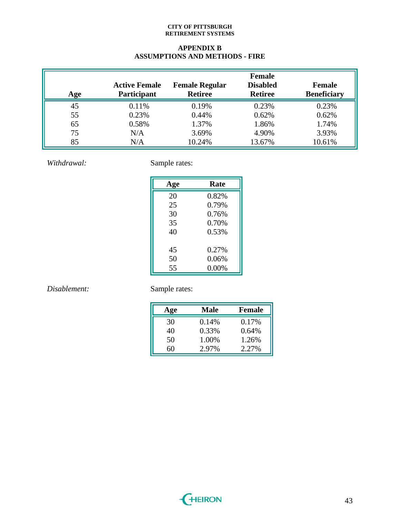### **APPENDIX B ASSUMPTIONS AND METHODS - FIRE**

| Age | <b>Active Female</b><br>Participant | <b>Female Regular</b><br><b>Retiree</b> | <b>Female</b><br><b>Disabled</b><br><b>Retiree</b> | <b>Female</b><br><b>Beneficiary</b> |
|-----|-------------------------------------|-----------------------------------------|----------------------------------------------------|-------------------------------------|
| 45  | 0.11%                               | 0.19%                                   | 0.23%                                              | 0.23%                               |
| 55  | 0.23%                               | 0.44%                                   | 0.62%                                              | 0.62%                               |
| 65  | 0.58%                               | 1.37%                                   | 1.86%                                              | 1.74%                               |
| 75  | N/A                                 | 3.69%                                   | 4.90%                                              | 3.93%                               |
| 85  | N/A                                 | 10.24%                                  | 13.67%                                             | 10.61%                              |

*Withdrawal:* Sample rates:

| Age | Rate  |
|-----|-------|
| 20  | 0.82% |
| 25  | 0.79% |
| 30  | 0.76% |
| 35  | 0.70% |
| 40  | 0.53% |
|     |       |
| 45  | 0.27% |
| 50  | 0.06% |
| 55  | 0.00% |

# *Disablement:* Sample rates:

| Age | Male  | <b>Female</b> |
|-----|-------|---------------|
| 30  | 0.14% | 0.17%         |
| 40  | 0.33% | 0.64%         |
| 50  | 1.00% | 1.26%         |
| 60  | 2.97% | 2.27%         |

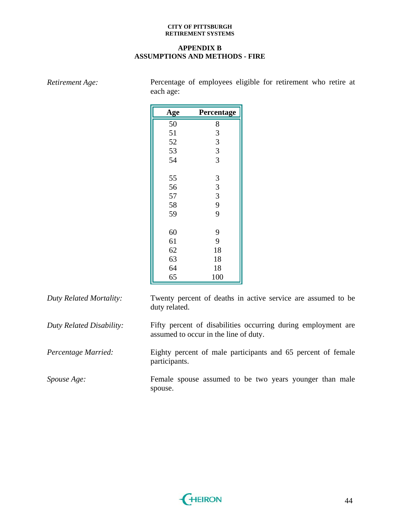### **APPENDIX B ASSUMPTIONS AND METHODS - FIRE**

| Age | Percentage                                 |  |
|-----|--------------------------------------------|--|
| 50  | 8                                          |  |
| 51  | 3                                          |  |
| 52  | $\overline{3}$                             |  |
| 53  | $\overline{3}$                             |  |
| 54  | $\overline{3}$                             |  |
| 55  | 3                                          |  |
| 56  |                                            |  |
| 57  | $\begin{array}{c} 3 \\ 3 \\ 9 \end{array}$ |  |
| 58  |                                            |  |
| 59  | $\overline{9}$                             |  |
| 60  | 9                                          |  |
| 61  | 9                                          |  |
| 62  | 18                                         |  |
| 63  | 18                                         |  |
| 64  | 18                                         |  |
| 65  | 100                                        |  |

*Retirement Age:* Percentage of employees eligible for retirement who retire at each age:

| Duty Related Mortality:  | Twenty percent of deaths in active service are assumed to be<br>duty related.                          |
|--------------------------|--------------------------------------------------------------------------------------------------------|
| Duty Related Disability: | Fifty percent of disabilities occurring during employment are<br>assumed to occur in the line of duty. |
| Percentage Married:      | Eighty percent of male participants and 65 percent of female<br>participants.                          |
| <i>Spouse Age:</i>       | Female spouse assumed to be two years younger than male<br>spouse.                                     |

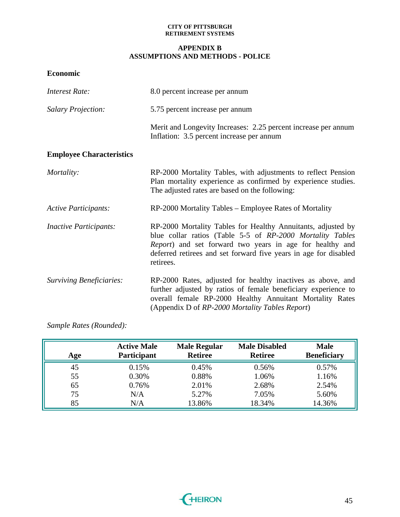### **APPENDIX B ASSUMPTIONS AND METHODS - POLICE**

**Economic** 

| <b>Interest Rate:</b>           | 8.0 percent increase per annum                                                                                                                                                                                                                                         |  |
|---------------------------------|------------------------------------------------------------------------------------------------------------------------------------------------------------------------------------------------------------------------------------------------------------------------|--|
| <b>Salary Projection:</b>       | 5.75 percent increase per annum                                                                                                                                                                                                                                        |  |
|                                 | Merit and Longevity Increases: 2.25 percent increase per annum<br>Inflation: 3.5 percent increase per annum                                                                                                                                                            |  |
| <b>Employee Characteristics</b> |                                                                                                                                                                                                                                                                        |  |
| Mortality:                      | RP-2000 Mortality Tables, with adjustments to reflect Pension<br>Plan mortality experience as confirmed by experience studies.<br>The adjusted rates are based on the following:                                                                                       |  |
| <b>Active Participants:</b>     | RP-2000 Mortality Tables - Employee Rates of Mortality                                                                                                                                                                                                                 |  |
| <b>Inactive Participants:</b>   | RP-2000 Mortality Tables for Healthy Annuitants, adjusted by<br>blue collar ratios (Table 5-5 of RP-2000 Mortality Tables<br>Report) and set forward two years in age for healthy and<br>deferred retirees and set forward five years in age for disabled<br>retirees. |  |
| <b>Surviving Beneficiaries:</b> | RP-2000 Rates, adjusted for healthy inactives as above, and<br>further adjusted by ratios of female beneficiary experience to<br>overall female RP-2000 Healthy Annuitant Mortality Rates<br>(Appendix D of RP-2000 Mortality Tables Report)                           |  |

*Sample Rates (Rounded):* 

| Age | <b>Active Male</b><br>Participant | <b>Male Regular</b><br><b>Retiree</b> | <b>Male Disabled</b><br><b>Retiree</b> | <b>Male</b><br><b>Beneficiary</b> |
|-----|-----------------------------------|---------------------------------------|----------------------------------------|-----------------------------------|
| 45  | 0.15%                             | 0.45%                                 | 0.56%                                  | 0.57%                             |
| 55  | 0.30%                             | 0.88%                                 | 1.06%                                  | 1.16%                             |
| 65  | 0.76%                             | 2.01%                                 | 2.68%                                  | 2.54%                             |
| 75  | N/A                               | 5.27%                                 | 7.05%                                  | 5.60%                             |
| 85  | N/A                               | 13.86%                                | 18.34%                                 | 14.36%                            |

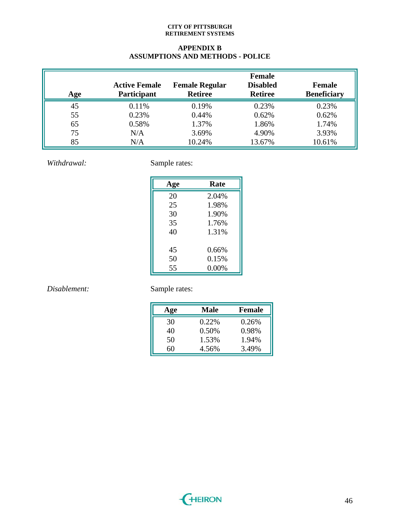### **APPENDIX B ASSUMPTIONS AND METHODS - POLICE**

| Age | <b>Active Female</b><br><b>Participant</b> | <b>Female Regular</b><br><b>Retiree</b> | <b>Female</b><br><b>Disabled</b><br><b>Retiree</b> | <b>Female</b><br><b>Beneficiary</b> |
|-----|--------------------------------------------|-----------------------------------------|----------------------------------------------------|-------------------------------------|
| 45  | 0.11%                                      | 0.19%                                   | 0.23%                                              | 0.23%                               |
| 55  | 0.23%                                      | 0.44%                                   | 0.62%                                              | 0.62%                               |
| 65  | 0.58%                                      | 1.37%                                   | 1.86%                                              | 1.74%                               |
| 75  | N/A                                        | 3.69%                                   | 4.90%                                              | 3.93%                               |
| 85  | N/A                                        | 10.24%                                  | 13.67%                                             | 10.61%                              |

*Withdrawal:* Sample rates:

| Age | Rate  |
|-----|-------|
| 20  | 2.04% |
| 25  | 1.98% |
| 30  | 1.90% |
| 35  | 1.76% |
| 40  | 1.31% |
|     |       |
| 45  | 0.66% |
| 50  | 0.15% |
| 55  | 0.00% |

# *Disablement:* Sample rates:

| Age | <b>Male</b> | <b>Female</b> |
|-----|-------------|---------------|
| 30  | 0.22%       | 0.26%         |
| 40  | 0.50%       | 0.98%         |
| 50  | 1.53%       | 1.94%         |
| 60  | 4.56%       | 3.49%         |

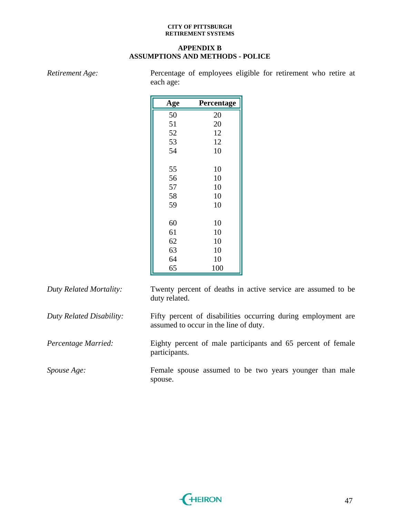### **APPENDIX B ASSUMPTIONS AND METHODS - POLICE**

*Retirement Age:* Percentage of employees eligible for retirement who retire at

|                          | each age:     |                                       |                                                               |
|--------------------------|---------------|---------------------------------------|---------------------------------------------------------------|
|                          | Age           | Percentage                            |                                                               |
|                          | 50            | 20                                    |                                                               |
|                          | 51            | 20                                    |                                                               |
|                          | 52            | 12                                    |                                                               |
|                          | 53            | 12                                    |                                                               |
|                          | 54            | 10                                    |                                                               |
|                          | 55            | 10                                    |                                                               |
|                          | 56            | 10                                    |                                                               |
|                          | 57            | 10                                    |                                                               |
|                          | 58            | 10                                    |                                                               |
|                          | 59            | 10                                    |                                                               |
|                          |               |                                       |                                                               |
|                          | 60            | 10                                    |                                                               |
|                          | 61            | 10                                    |                                                               |
|                          | 62            | 10                                    |                                                               |
|                          | 63            | 10                                    |                                                               |
|                          | 64            | 10                                    |                                                               |
|                          | 65            | 100                                   |                                                               |
| Duty Related Mortality:  | duty related. |                                       | Twenty percent of deaths in active service are assumed to be  |
| Duty Related Disability: |               | assumed to occur in the line of duty. | Fifty percent of disabilities occurring during employment are |
| Percentage Married:      |               |                                       | Eighty percent of male participants and 65 percent of female  |

*Duty Related Disability:* Fifty percent of disabilities occurring during employment are *Percentage Married:* Eighty percent of male participants and 65 percent of female participants. *Spouse Age:* Female spouse assumed to be two years younger than male spouse.

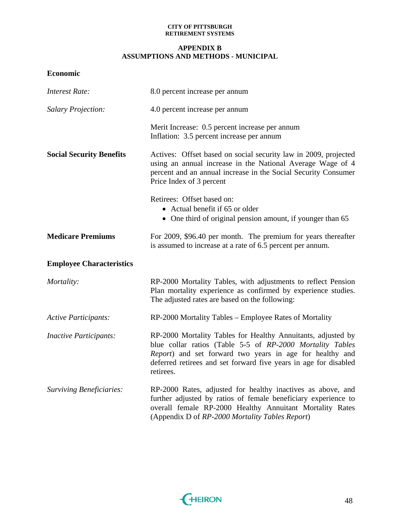### **APPENDIX B ASSUMPTIONS AND METHODS - MUNICIPAL**

**Economic** 

| <b>Interest Rate:</b>           | 8.0 percent increase per annum                                                                                                                                                                                                                                         |
|---------------------------------|------------------------------------------------------------------------------------------------------------------------------------------------------------------------------------------------------------------------------------------------------------------------|
| <b>Salary Projection:</b>       | 4.0 percent increase per annum                                                                                                                                                                                                                                         |
|                                 | Merit Increase: 0.5 percent increase per annum<br>Inflation: 3.5 percent increase per annum                                                                                                                                                                            |
| <b>Social Security Benefits</b> | Actives: Offset based on social security law in 2009, projected<br>using an annual increase in the National Average Wage of 4<br>percent and an annual increase in the Social Security Consumer<br>Price Index of 3 percent                                            |
|                                 | Retirees: Offset based on:<br>• Actual benefit if 65 or older<br>• One third of original pension amount, if younger than 65                                                                                                                                            |
| <b>Medicare Premiums</b>        | For 2009, \$96.40 per month. The premium for years thereafter<br>is assumed to increase at a rate of 6.5 percent per annum.                                                                                                                                            |
| <b>Employee Characteristics</b> |                                                                                                                                                                                                                                                                        |
| Mortality:                      | RP-2000 Mortality Tables, with adjustments to reflect Pension<br>Plan mortality experience as confirmed by experience studies.<br>The adjusted rates are based on the following:                                                                                       |
| <b>Active Participants:</b>     | RP-2000 Mortality Tables – Employee Rates of Mortality                                                                                                                                                                                                                 |
| <b>Inactive Participants:</b>   | RP-2000 Mortality Tables for Healthy Annuitants, adjusted by<br>blue collar ratios (Table 5-5 of RP-2000 Mortality Tables<br>Report) and set forward two years in age for healthy and<br>deferred retirees and set forward five years in age for disabled<br>retirees. |
| <b>Surviving Beneficiaries:</b> | RP-2000 Rates, adjusted for healthy inactives as above, and<br>further adjusted by ratios of female beneficiary experience to<br>overall female RP-2000 Healthy Annuitant Mortality Rates<br>(Appendix D of RP-2000 Mortality Tables Report)                           |

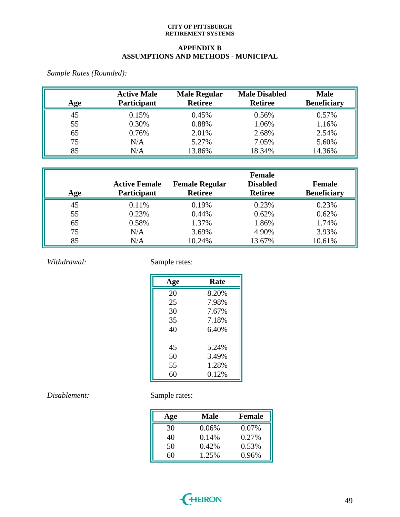### **APPENDIX B ASSUMPTIONS AND METHODS - MUNICIPAL**

*Sample Rates (Rounded):* 

| Age | <b>Active Male</b><br>Participant | <b>Male Regular</b><br><b>Retiree</b> | <b>Male Disabled</b><br><b>Retiree</b> | <b>Male</b><br><b>Beneficiary</b> |
|-----|-----------------------------------|---------------------------------------|----------------------------------------|-----------------------------------|
| 45  | 0.15%                             | 0.45%                                 | 0.56%                                  | 0.57%                             |
| 55  | 0.30%                             | 0.88%                                 | 1.06%                                  | 1.16%                             |
| 65  | 0.76%                             | 2.01%                                 | 2.68%                                  | 2.54%                             |
| 75  | N/A                               | 5.27%                                 | 7.05%                                  | 5.60%                             |
| 85  | N/A                               | 13.86%                                | 18.34%                                 | 14.36%                            |

| Age | <b>Active Female</b><br>Participant | <b>Female Regular</b><br><b>Retiree</b> | <b>Female</b><br><b>Disabled</b><br><b>Retiree</b> | <b>Female</b><br><b>Beneficiary</b> |
|-----|-------------------------------------|-----------------------------------------|----------------------------------------------------|-------------------------------------|
| 45  | 0.11%                               | 0.19%                                   | 0.23%                                              | 0.23%                               |
| 55  | 0.23%                               | 0.44%                                   | 0.62%                                              | 0.62%                               |
| 65  | 0.58%                               | 1.37%                                   | 1.86%                                              | 1.74%                               |
| 75  | N/A                                 | 3.69%                                   | 4.90%                                              | 3.93%                               |
| 85  | N/A                                 | 10.24%                                  | 13.67%                                             | 10.61%                              |

*Withdrawal:* Sample rates:

| Age | Rate  |
|-----|-------|
| 20  | 8.20% |
| 25  | 7.98% |
| 30  | 7.67% |
| 35  | 7.18% |
| 40  | 6.40% |
| 45  | 5.24% |
| 50  | 3.49% |
| 55  | 1.28% |
| 60  | 0.12% |

# *Disablement:* Sample rates:

| Age | Male  | <b>Female</b> |
|-----|-------|---------------|
| 30  | 0.06% | 0.07%         |
| 40  | 0.14% | 0.27%         |
| 50  | 0.42% | 0.53%         |
| 60  | 1.25% | 0.96%         |

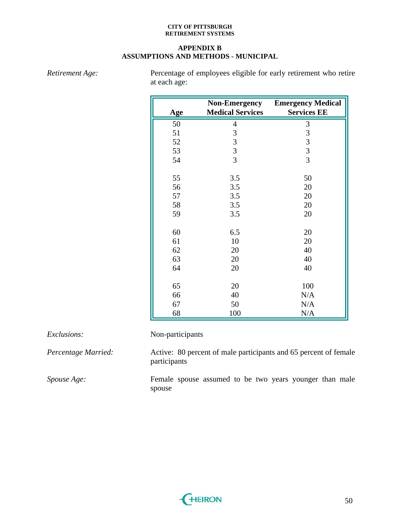### **APPENDIX B ASSUMPTIONS AND METHODS - MUNICIPAL**

*Retirement Age:* Percentage of employees eligible for early retirement who retire at each age:

| Age | <b>Non-Emergency</b><br><b>Medical Services</b> | <b>Emergency Medical</b><br><b>Services EE</b> |
|-----|-------------------------------------------------|------------------------------------------------|
| 50  | $\overline{4}$                                  | $\mathfrak{Z}$                                 |
| 51  | $\mathfrak{Z}$                                  | $\mathfrak{Z}$                                 |
| 52  | 3                                               | 3                                              |
| 53  | $\overline{3}$                                  | $\overline{3}$                                 |
| 54  | $\overline{3}$                                  | 3                                              |
| 55  | 3.5                                             | 50                                             |
| 56  | 3.5                                             | 20                                             |
| 57  | 3.5                                             | 20                                             |
| 58  | 3.5                                             | 20                                             |
| 59  | 3.5                                             | 20                                             |
| 60  | 6.5                                             | 20                                             |
| 61  | 10                                              | 20                                             |
| 62  | 20                                              | 40                                             |
| 63  | 20                                              | 40                                             |
| 64  | 20                                              | 40                                             |
|     |                                                 |                                                |
| 65  | 20                                              | 100                                            |
| 66  | 40                                              | N/A                                            |
| 67  | 50                                              | N/A                                            |
| 68  | 100                                             | N/A                                            |

*Exclusions:* Non-participants

participants

*Percentage Married:* Active: 80 percent of male participants and 65 percent of female

*Spouse Age:* Female spouse assumed to be two years younger than male spouse

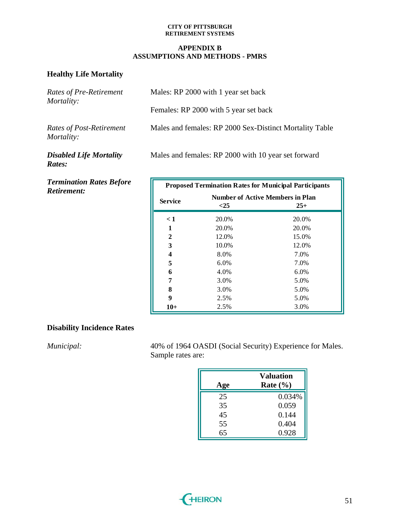### **APPENDIX B ASSUMPTIONS AND METHODS - PMRS**

## **Healthy Life Mortality**

| Rates of Pre-Retirement<br>Mortality:  | Males: RP 2000 with 1 year set back                     |
|----------------------------------------|---------------------------------------------------------|
|                                        | Females: RP 2000 with 5 year set back                   |
| Rates of Post-Retirement<br>Mortality: | Males and females: RP 2000 Sex-Distinct Mortality Table |
| <b>Disabled Life Mortality</b>         | Males and females: RP 2000 with 10 year set forward     |

*Disabled Life Mortality Rates:* 

*Termination Rates Before Retirement:* 

| <b>Proposed Termination Rates for Municipal Participants</b> |                                                            |       |
|--------------------------------------------------------------|------------------------------------------------------------|-------|
| <b>Service</b>                                               | <b>Number of Active Members in Plan</b><br>$<$ 25<br>$25+$ |       |
| $\leq 1$                                                     | 20.0%                                                      | 20.0% |
| 1                                                            | 20.0%                                                      | 20.0% |
| 2                                                            | 12.0%                                                      | 15.0% |
| 3                                                            | 10.0%                                                      | 12.0% |
| 4                                                            | 8.0%                                                       | 7.0%  |
| 5                                                            | $6.0\%$                                                    | 7.0%  |
| 6                                                            | 4.0%                                                       | 6.0%  |
| 7                                                            | 3.0%                                                       | 5.0%  |
| 8                                                            | 3.0%                                                       | 5.0%  |
| 9                                                            | 2.5%                                                       | 5.0%  |
| $10+$                                                        | 2.5%                                                       | 3.0%  |

## **Disability Incidence Rates**

*Municipal:* 40% of 1964 OASDI (Social Security) Experience for Males. Sample rates are:

| Age | <b>Valuation</b><br>Rate $(\% )$ |
|-----|----------------------------------|
| 25  | 0.034%                           |
| 35  | 0.059                            |
| 45  | 0.144                            |
| 55  | 0.404                            |
| 65  | 0.928                            |

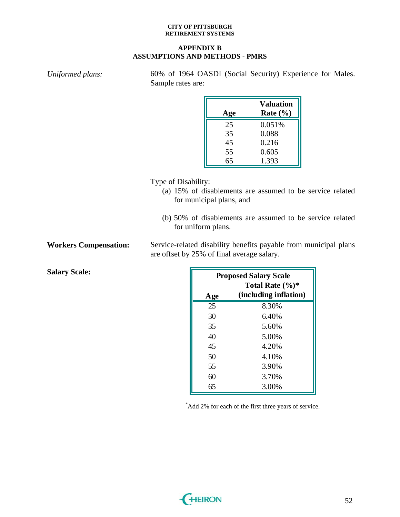### **APPENDIX B ASSUMPTIONS AND METHODS - PMRS**

*Uniformed plans:* 60% of 1964 OASDI (Social Security) Experience for Males.

| Age |
|-----|
| 25  |
| 35  |
| 45  |
| 55  |
| 65  |

for municipal plans, and

(b) 50% of disablements are assumed to be service related for uniform plans.

**Workers Compensation:** Service-related disability benefits payable from municipal plans are offset by 25% of final average salary.

**Salary Scale:** 

|            | <b>Proposed Salary Scale</b><br>Total Rate $(\%)^*$ |
|------------|-----------------------------------------------------|
| <b>Age</b> | (including inflation)                               |
| 25         | 8.30%                                               |
| 30         | 6.40%                                               |
| 35         | 5.60%                                               |
| 40         | 5.00%                                               |
| 45         | 4.20%                                               |
| 50         | 4.10%                                               |
| 55         | 3.90%                                               |
| 60         | 3.70%                                               |
| 65         | 3.00%                                               |

\* Add 2% for each of the first three years of service.

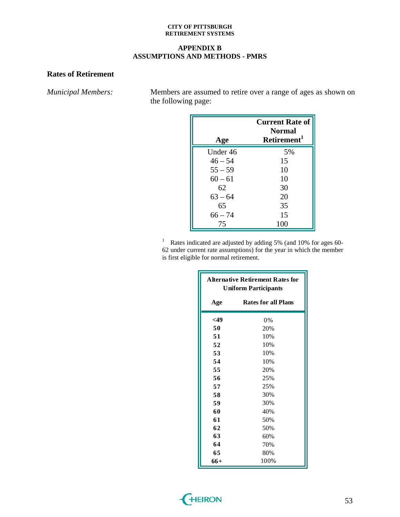### **APPENDIX B ASSUMPTIONS AND METHODS - PMRS**

## **Rates of Retirement**

*Municipal Members:* Members are assumed to retire over a range of ages as shown on the following page:

| Age       | <b>Current Rate of</b><br><b>Normal</b><br>Retirement <sup>1</sup> |
|-----------|--------------------------------------------------------------------|
| Under 46  | 5%                                                                 |
| $46 - 54$ | 15                                                                 |
| $55 - 59$ | 10                                                                 |
| $60 - 61$ | 10                                                                 |
| 62        | 30                                                                 |
| $63 - 64$ | 20                                                                 |
| 65        | 35                                                                 |
| $66 - 74$ | 15                                                                 |
| 75        | 100                                                                |

<sup>1</sup> Rates indicated are adjusted by adding 5% (and 10% for ages 60-62 under current rate assumptions) for the year in which the member is first eligible for normal retirement.

| <b>Alternative Retirement Rates for</b><br><b>Uniform Participants</b> |                            |
|------------------------------------------------------------------------|----------------------------|
| Age                                                                    | <b>Rates for all Plans</b> |
| $<$ 49                                                                 | 0%                         |
| 50                                                                     | 20%                        |
| 51                                                                     | 10%                        |
| 52                                                                     | 10%                        |
| 53                                                                     | 10%                        |
| 54                                                                     | 10%                        |
| 55                                                                     | 20%                        |
| 56                                                                     | 25%                        |
| 57                                                                     | 25%                        |
| 58                                                                     | 30%                        |
| 59                                                                     | 30%                        |
| 60                                                                     | 40%                        |
| 61                                                                     | 50%                        |
| 62                                                                     | 50%                        |
| 63                                                                     | 60%                        |
| 64                                                                     | 70%                        |
| 65                                                                     | 80%                        |
| $66+$                                                                  | 100%                       |